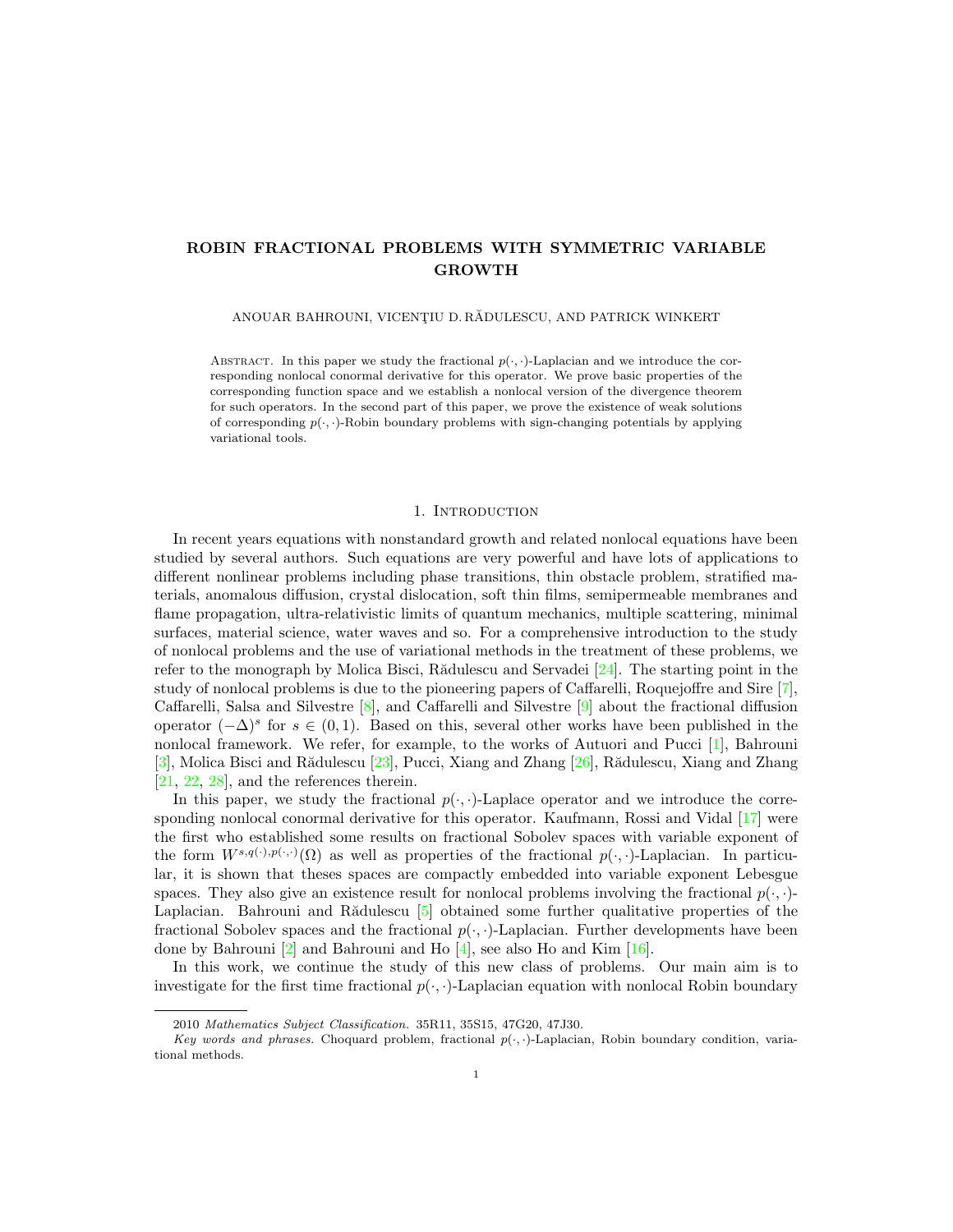# ROBIN FRACTIONAL PROBLEMS WITH SYMMETRIC VARIABLE GROWTH

ANOUAR BAHROUNI, VICENȚIU D. RĂDULESCU, AND PATRICK WINKERT

ABSTRACT. In this paper we study the fractional  $p(\cdot, \cdot)$ -Laplacian and we introduce the corresponding nonlocal conormal derivative for this operator. We prove basic properties of the corresponding function space and we establish a nonlocal version of the divergence theorem for such operators. In the second part of this paper, we prove the existence of weak solutions of corresponding  $p(\cdot, \cdot)$ -Robin boundary problems with sign-changing potentials by applying variational tools.

## 1. INTRODUCTION

In recent years equations with nonstandard growth and related nonlocal equations have been studied by several authors. Such equations are very powerful and have lots of applications to different nonlinear problems including phase transitions, thin obstacle problem, stratified materials, anomalous diffusion, crystal dislocation, soft thin films, semipermeable membranes and flame propagation, ultra-relativistic limits of quantum mechanics, multiple scattering, minimal surfaces, material science, water waves and so. For a comprehensive introduction to the study of nonlocal problems and the use of variational methods in the treatment of these problems, we refer to the monograph by Molica Bisci, Rădulescu and Servadei  $[24]$ . The starting point in the study of nonlocal problems is due to the pioneering papers of Caffarelli, Roquejoffre and Sire [\[7\]](#page-15-0), Caffarelli, Salsa and Silvestre [\[8\]](#page-15-1), and Caffarelli and Silvestre [\[9\]](#page-15-2) about the fractional diffusion operator  $(-\Delta)^s$  for  $s \in (0,1)$ . Based on this, several other works have been published in the nonlocal framework. We refer, for example, to the works of Autuori and Pucci [\[1\]](#page-15-3), Bahrouni  $[3]$ , Molica Bisci and Rădulescu  $[23]$ , Pucci, Xiang and Zhang  $[26]$ , Rădulescu, Xiang and Zhang [\[21,](#page-16-3) [22,](#page-16-4) [28\]](#page-16-5), and the references therein.

In this paper, we study the fractional  $p(\cdot, \cdot)$ -Laplace operator and we introduce the corresponding nonlocal conormal derivative for this operator. Kaufmann, Rossi and Vidal [\[17\]](#page-16-6) were the first who established some results on fractional Sobolev spaces with variable exponent of the form  $W^{s,q(\cdot),p(\cdot,\cdot)}(\Omega)$  as well as properties of the fractional  $p(\cdot,\cdot)$ -Laplacian. In particular, it is shown that theses spaces are compactly embedded into variable exponent Lebesgue spaces. They also give an existence result for nonlocal problems involving the fractional  $p(\cdot, \cdot)$ -Laplacian. Bahrouni and Rădulescu [\[5\]](#page-15-5) obtained some further qualitative properties of the fractional Sobolev spaces and the fractional  $p(\cdot, \cdot)$ -Laplacian. Further developments have been done by Bahrouni [\[2\]](#page-15-6) and Bahrouni and Ho [\[4\]](#page-15-7), see also Ho and Kim [\[16\]](#page-15-8).

In this work, we continue the study of this new class of problems. Our main aim is to investigate for the first time fractional  $p(\cdot, \cdot)$ -Laplacian equation with nonlocal Robin boundary

<sup>2010</sup> Mathematics Subject Classification. 35R11, 35S15, 47G20, 47J30.

Key words and phrases. Choquard problem, fractional  $p(\cdot, \cdot)$ -Laplacian, Robin boundary condition, variational methods.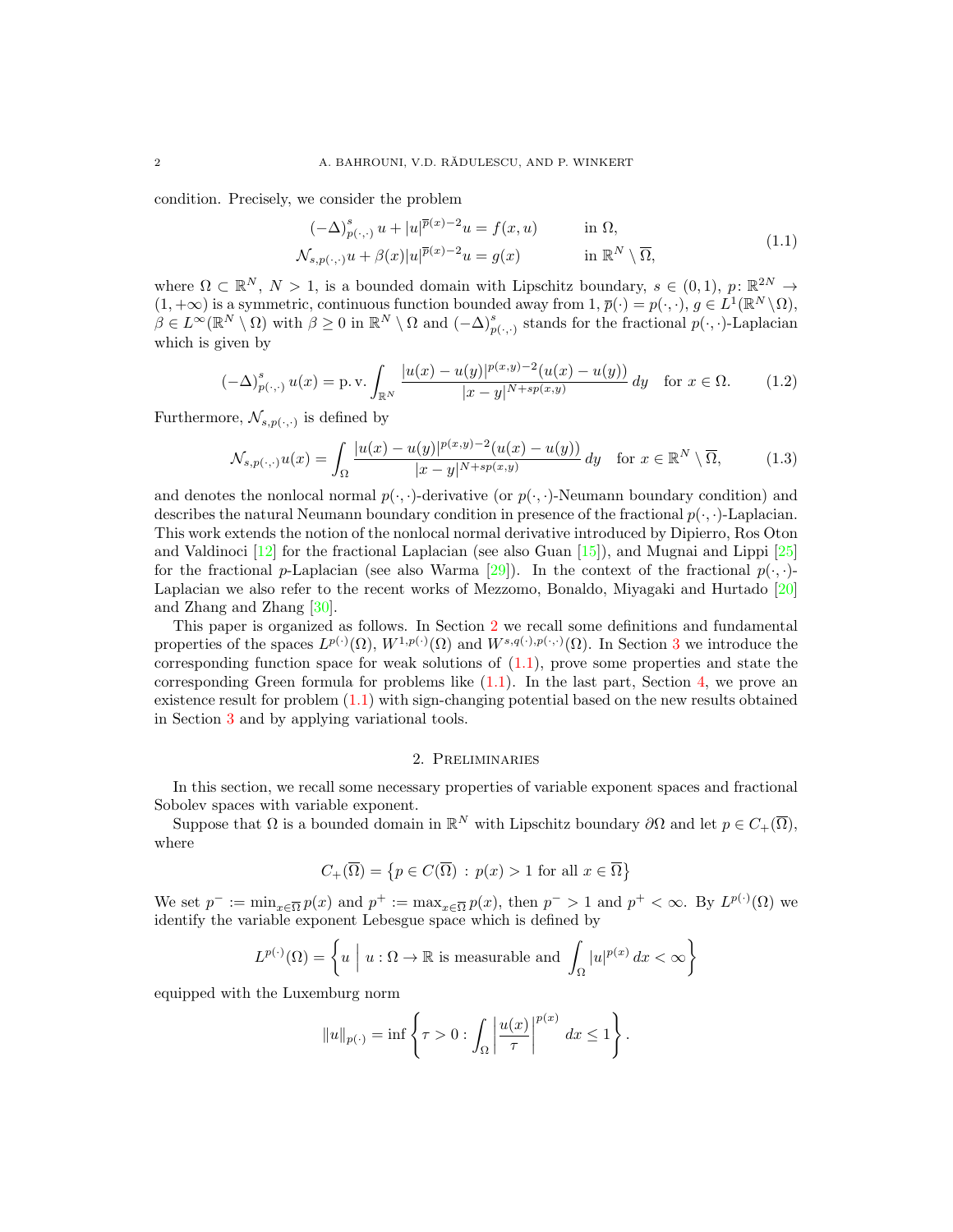condition. Precisely, we consider the problem

<span id="page-1-2"></span><span id="page-1-1"></span>
$$
(-\Delta)_{p(\cdot,\cdot)}^s u + |u|^{\overline{p}(x)-2}u = f(x,u) \quad \text{in } \Omega,
$$
  

$$
\mathcal{N}_{s,p(\cdot,\cdot)} u + \beta(x)|u|^{\overline{p}(x)-2}u = g(x) \quad \text{in } \mathbb{R}^N \setminus \overline{\Omega},
$$
 (1.1)

where  $\Omega \subset \mathbb{R}^N$ ,  $N > 1$ , is a bounded domain with Lipschitz boundary,  $s \in (0,1)$ ,  $p: \mathbb{R}^{2N} \to$  $(1, +\infty)$  is a symmetric, continuous function bounded away from  $1, \overline{p}(\cdot) = p(\cdot, \cdot), g \in L^{1}(\mathbb{R}^{N} \setminus \Omega)$ ,  $\beta \in L^{\infty}(\mathbb{R}^N \setminus \Omega)$  with  $\beta \geq 0$  in  $\mathbb{R}^N \setminus \Omega$  and  $(-\Delta)_{p(\cdot,\cdot)}^s$  stands for the fractional  $p(\cdot,\cdot)$ -Laplacian which is given by

$$
(-\Delta)_{p(\cdot,\cdot)}^s u(x) = \text{p.v.} \int_{\mathbb{R}^N} \frac{|u(x) - u(y)|^{p(x,y)-2}(u(x) - u(y))}{|x - y|^{N + sp(x,y)}} \, dy \quad \text{for } x \in \Omega. \tag{1.2}
$$

Furthermore,  $\mathcal{N}_{s,p(\cdot,\cdot)}$  is defined by

$$
\mathcal{N}_{s,p(\cdot,\cdot)}u(x) = \int_{\Omega} \frac{|u(x) - u(y)|^{p(x,y)-2}(u(x) - u(y))}{|x - y|^{N + sp(x,y)}} dy \quad \text{for } x \in \mathbb{R}^N \setminus \overline{\Omega},\tag{1.3}
$$

and denotes the nonlocal normal  $p(\cdot, \cdot)$ -derivative (or  $p(\cdot, \cdot)$ -Neumann boundary condition) and describes the natural Neumann boundary condition in presence of the fractional  $p(\cdot, \cdot)$ -Laplacian. This work extends the notion of the nonlocal normal derivative introduced by Dipierro, Ros Oton and Valdinoci  $[12]$  for the fractional Laplacian (see also Guan  $[15]$ ), and Mugnai and Lippi  $[25]$ for the fractional p-Laplacian (see also Warma [\[29\]](#page-16-8)). In the context of the fractional  $p(\cdot,\cdot)$ -Laplacian we also refer to the recent works of Mezzomo, Bonaldo, Miyagaki and Hurtado [\[20\]](#page-16-9) and Zhang and Zhang [\[30\]](#page-16-10).

This paper is organized as follows. In Section [2](#page-1-0) we recall some definitions and fundamental properties of the spaces  $L^{p(\cdot)}(\Omega)$ ,  $W^{1,p(\cdot)}(\Omega)$  and  $W^{s,q(\cdot),p(\cdot,\cdot)}(\Omega)$ . In Section [3](#page-4-0) we introduce the corresponding function space for weak solutions of  $(1.1)$ , prove some properties and state the corresponding Green formula for problems like  $(1.1)$ . In the last part, Section [4,](#page-12-0) we prove an existence result for problem [\(1.1\)](#page-1-1) with sign-changing potential based on the new results obtained in Section [3](#page-4-0) and by applying variational tools.

## <span id="page-1-3"></span>2. Preliminaries

<span id="page-1-0"></span>In this section, we recall some necessary properties of variable exponent spaces and fractional Sobolev spaces with variable exponent.

Suppose that  $\Omega$  is a bounded domain in  $\mathbb{R}^N$  with Lipschitz boundary  $\partial\Omega$  and let  $p \in C_+(\overline{\Omega})$ , where

$$
C_{+}(\overline{\Omega}) = \{ p \in C(\overline{\Omega}) : p(x) > 1 \text{ for all } x \in \overline{\Omega} \}
$$

We set  $p^- := \min_{x \in \overline{\Omega}} p(x)$  and  $p^+ := \max_{x \in \overline{\Omega}} p(x)$ , then  $p^- > 1$  and  $p^+ < \infty$ . By  $L^{p(\cdot)}(\Omega)$  we identify the variable exponent Lebesgue space which is defined by

$$
L^{p(\cdot)}(\Omega) = \left\{ u \mid u : \Omega \to \mathbb{R} \text{ is measurable and } \int_{\Omega} |u|^{p(x)} dx < \infty \right\}
$$

equipped with the Luxemburg norm

$$
||u||_{p(\cdot)} = \inf \left\{ \tau > 0 : \int_{\Omega} \left| \frac{u(x)}{\tau} \right|^{p(x)} dx \le 1 \right\}.
$$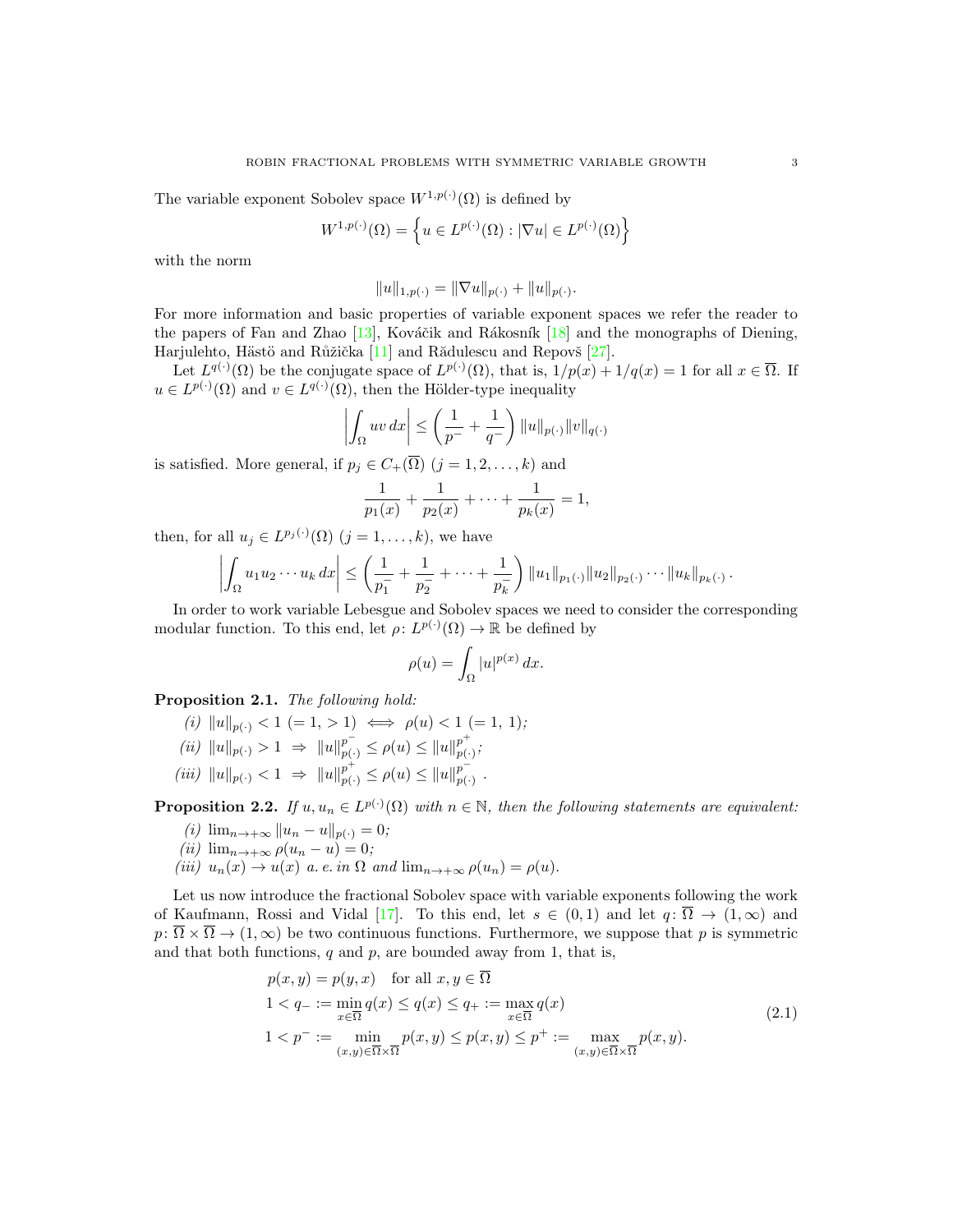The variable exponent Sobolev space  $W^{1,p(\cdot)}(\Omega)$  is defined by

$$
W^{1,p(\cdot)}(\Omega)=\left\{u\in L^{p(\cdot)}(\Omega):\vert\nabla u\vert\in L^{p(\cdot)}(\Omega)\right\}
$$

with the norm

$$
||u||_{1,p(\cdot)} = ||\nabla u||_{p(\cdot)} + ||u||_{p(\cdot)}.
$$

For more information and basic properties of variable exponent spaces we refer the reader to the papers of Fan and Zhao  $[13]$ , Kováčik and Rákosník  $[18]$  and the monographs of Diening, Harjulehto, Hästö and Růžička  $[11]$  and Rădulescu and Repovš  $[27]$ .

Let  $L^{q(\cdot)}(\Omega)$  be the conjugate space of  $L^{p(\cdot)}(\Omega)$ , that is,  $1/p(x) + 1/q(x) = 1$  for all  $x \in \overline{\Omega}$ . If  $u \in L^{p(\cdot)}(\Omega)$  and  $v \in L^{q(\cdot)}(\Omega)$ , then the Hölder-type inequality

$$
\left| \int_{\Omega} uv \, dx \right| \le \left( \frac{1}{p^-} + \frac{1}{q^-} \right) ||u||_{p(\cdot)} ||v||_{q(\cdot)}
$$

is satisfied. More general, if  $p_j \in C_+(\overline{\Omega})$   $(j = 1, 2, \ldots, k)$  and

$$
\frac{1}{p_1(x)} + \frac{1}{p_2(x)} + \dots + \frac{1}{p_k(x)} = 1,
$$

then, for all  $u_j \in L^{p_j(\cdot)}(\Omega)$   $(j = 1, ..., k)$ , we have

$$
\left|\int_{\Omega} u_1 u_2 \cdots u_k dx\right| \leq \left(\frac{1}{p_1^-} + \frac{1}{p_2^-} + \cdots + \frac{1}{p_k^-}\right) \|u_1\|_{p_1(\cdot)} \|u_2\|_{p_2(\cdot)} \cdots \|u_k\|_{p_k(\cdot)}.
$$

In order to work variable Lebesgue and Sobolev spaces we need to consider the corresponding modular function. To this end, let  $\rho: L^{p(\cdot)}(\Omega) \to \mathbb{R}$  be defined by

<span id="page-2-0"></span>
$$
\rho(u) = \int_{\Omega} |u|^{p(x)} dx.
$$

<span id="page-2-1"></span>Proposition 2.1. The following hold:

- (i)  $||u||_{p(\cdot)} < 1 (= 1, > 1) \iff \rho(u) < 1 (= 1, 1);$
- (*ii*)  $||u||_{p(\cdot)} > 1 \Rightarrow ||u||_{p(\cdot)}^{p^{-}} \leq \rho(u) \leq ||u||_{p(\cdot)}^{p^{+}}$  $_{p(\cdot)}^{p},$
- (iii)  $||u||_{p(\cdot)} < 1 \Rightarrow ||u||_{p(\cdot)}^{p^+} \leq \rho(u) \leq ||u||_{p(\cdot)}^{p^-}$  $_{p(\cdot)}^{p}$  .

**Proposition 2.2.** If  $u, u_n \in L^{p(\cdot)}(\Omega)$  with  $n \in \mathbb{N}$ , then the following statements are equivalent:

- (i)  $\lim_{n \to +\infty} ||u_n u||_{p(.)} = 0;$
- (ii)  $\lim_{n\to+\infty}\rho(u_n-u)=0;$
- (iii)  $u_n(x) \to u(x)$  a. e. in  $\Omega$  and  $\lim_{n \to +\infty} \rho(u_n) = \rho(u)$ .

Let us now introduce the fractional Sobolev space with variable exponents following the work of Kaufmann, Rossi and Vidal [\[17\]](#page-16-6). To this end, let  $s \in (0,1)$  and let  $q: \overline{\Omega} \to (1,\infty)$  and  $p: \overline{\Omega} \times \overline{\Omega} \to (1,\infty)$  be two continuous functions. Furthermore, we suppose that p is symmetric and that both functions,  $q$  and  $p$ , are bounded away from 1, that is,

$$
p(x, y) = p(y, x) \quad \text{for all } x, y \in \Omega
$$
  
\n
$$
1 < q_{-} := \min_{x \in \overline{\Omega}} q(x) \le q(x) \le q_{+} := \max_{x \in \overline{\Omega}} q(x)
$$
  
\n
$$
1 < p^{-} := \min_{(x, y) \in \overline{\Omega} \times \overline{\Omega}} p(x, y) \le p(x, y) \le p^{+} := \max_{(x, y) \in \overline{\Omega} \times \overline{\Omega}} p(x, y).
$$
\n(2.1)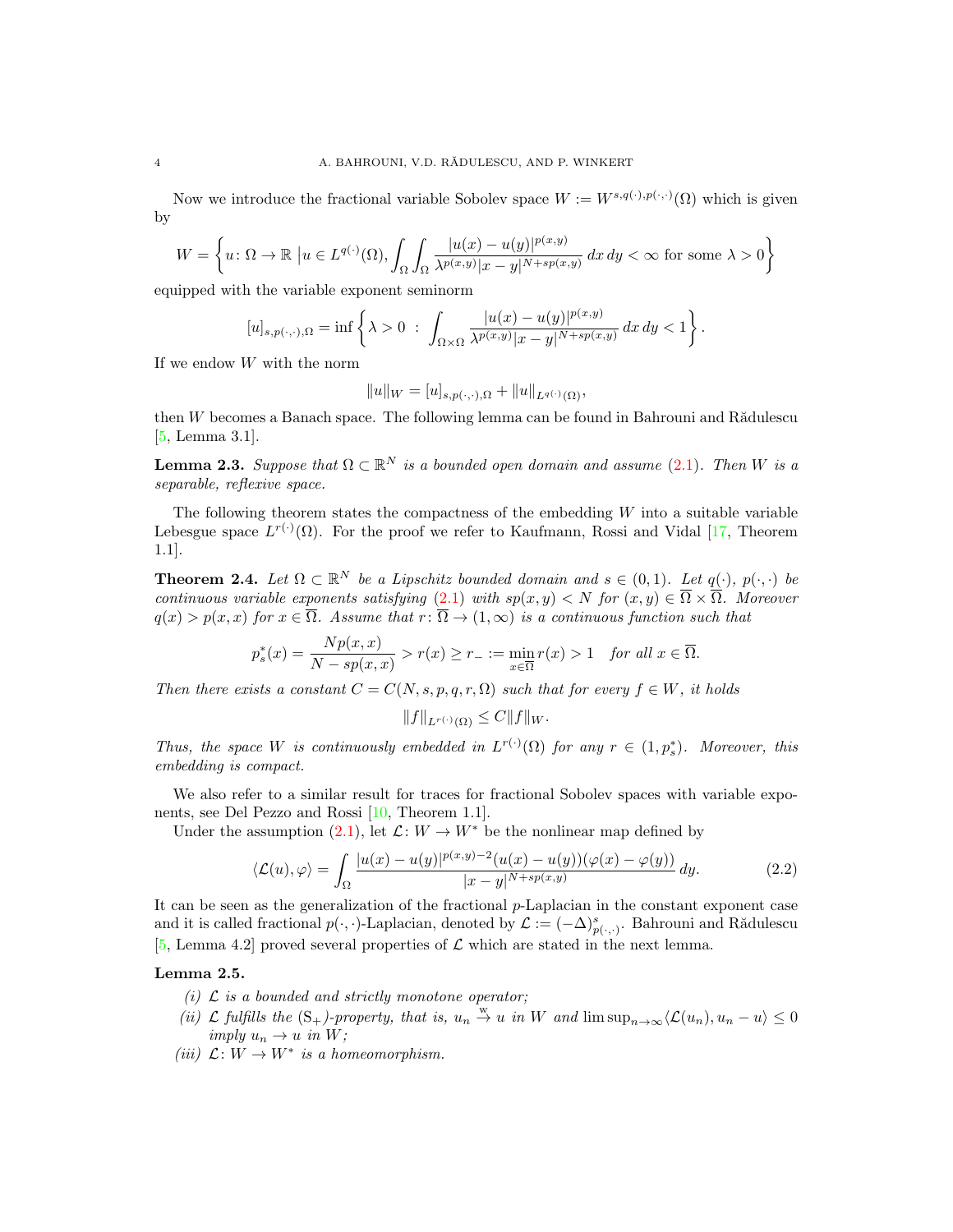Now we introduce the fractional variable Sobolev space  $W := W^{s,q(\cdot),p(\cdot,\cdot)}(\Omega)$  which is given by

$$
W = \left\{ u \colon \Omega \to \mathbb{R} \mid u \in L^{q(\cdot)}(\Omega), \int_{\Omega} \int_{\Omega} \frac{|u(x) - u(y)|^{p(x,y)}}{\lambda^{p(x,y)} |x - y|^{N + sp(x,y)}} dx dy < \infty \text{ for some } \lambda > 0 \right\}
$$

equipped with the variable exponent seminorm

$$
[u]_{s,p(\cdot,\cdot),\Omega} = \inf \left\{\lambda > 0 \; : \; \int_{\Omega \times \Omega} \frac{|u(x) - u(y)|^{p(x,y)}}{\lambda^{p(x,y)}|x - y|^{N + sp(x,y)}} \, dx \, dy < 1 \right\}.
$$

If we endow W with the norm

$$
||u||_W = [u]_{s,p(\cdot,\cdot),\Omega} + ||u||_{L^{q(\cdot)}(\Omega)},
$$

then  $W$  becomes a Banach space. The following lemma can be found in Bahrouni and R $\tilde{a}$ dulescu [\[5,](#page-15-5) Lemma 3.1].

**Lemma 2.3.** Suppose that  $\Omega \subset \mathbb{R}^N$  is a bounded open domain and assume [\(2.1\)](#page-2-0). Then W is a separable, reflexive space.

The following theorem states the compactness of the embedding  $W$  into a suitable variable Lebesgue space  $L^{r(\cdot)}(\Omega)$ . For the proof we refer to Kaufmann, Rossi and Vidal [\[17,](#page-16-6) Theorem 1.1].

<span id="page-3-1"></span>**Theorem 2.4.** Let  $\Omega \subset \mathbb{R}^N$  be a Lipschitz bounded domain and  $s \in (0,1)$ . Let  $q(\cdot), p(\cdot, \cdot)$  be continuous variable exponents satisfying [\(2.1\)](#page-2-0) with  $sp(x, y) < N$  for  $(x, y) \in \overline{\Omega} \times \overline{\Omega}$ . Moreover  $q(x) > p(x, x)$  for  $x \in \overline{\Omega}$ . Assume that  $r : \overline{\Omega} \to (1, \infty)$  is a continuous function such that

$$
p_s^*(x) = \frac{Np(x, x)}{N - sp(x, x)} > r(x) \ge r_- := \min_{x \in \overline{\Omega}} r(x) > 1 \quad \text{for all } x \in \overline{\Omega}.
$$

Then there exists a constant  $C = C(N, s, p, q, r, \Omega)$  such that for every  $f \in W$ , it holds

<span id="page-3-0"></span>
$$
||f||_{L^{r(\cdot)}(\Omega)} \leq C||f||_W.
$$

Thus, the space W is continuously embedded in  $L^{r(\cdot)}(\Omega)$  for any  $r \in (1, p_s^*)$ . Moreover, this embedding is compact.

We also refer to a similar result for traces for fractional Sobolev spaces with variable exponents, see Del Pezzo and Rossi [\[10,](#page-15-13) Theorem 1.1].

Under the assumption [\(2.1\)](#page-2-0), let  $\mathcal{L}: W \to W^*$  be the nonlinear map defined by

$$
\langle \mathcal{L}(u), \varphi \rangle = \int_{\Omega} \frac{|u(x) - u(y)|^{p(x,y)-2} (u(x) - u(y)) (\varphi(x) - \varphi(y))}{|x - y|^{N + sp(x,y)}} dy.
$$
 (2.2)

It can be seen as the generalization of the fractional  $p$ -Laplacian in the constant exponent case and it is called fractional  $p(\cdot,\cdot)$ -Laplacian, denoted by  $\mathcal{L} := (-\Delta)_{p(\cdot,\cdot)}^s$ . Bahrouni and Rădulescu [\[5,](#page-15-5) Lemma 4.2] proved several properties of  $\mathcal L$  which are stated in the next lemma.

### Lemma 2.5.

- (i)  $\mathcal L$  is a bounded and strictly monotone operator;
- (ii)  $\mathcal L$  fulfills the  $(S_+)$ -property, that is,  $u_n \stackrel{w}{\to} u$  in W and  $\limsup_{n\to\infty}$   $\mathcal L(u_n), u_n u \geq 0$ imply  $u_n \to u$  in W;
- (iii)  $\mathcal{L}: W \to W^*$  is a homeomorphism.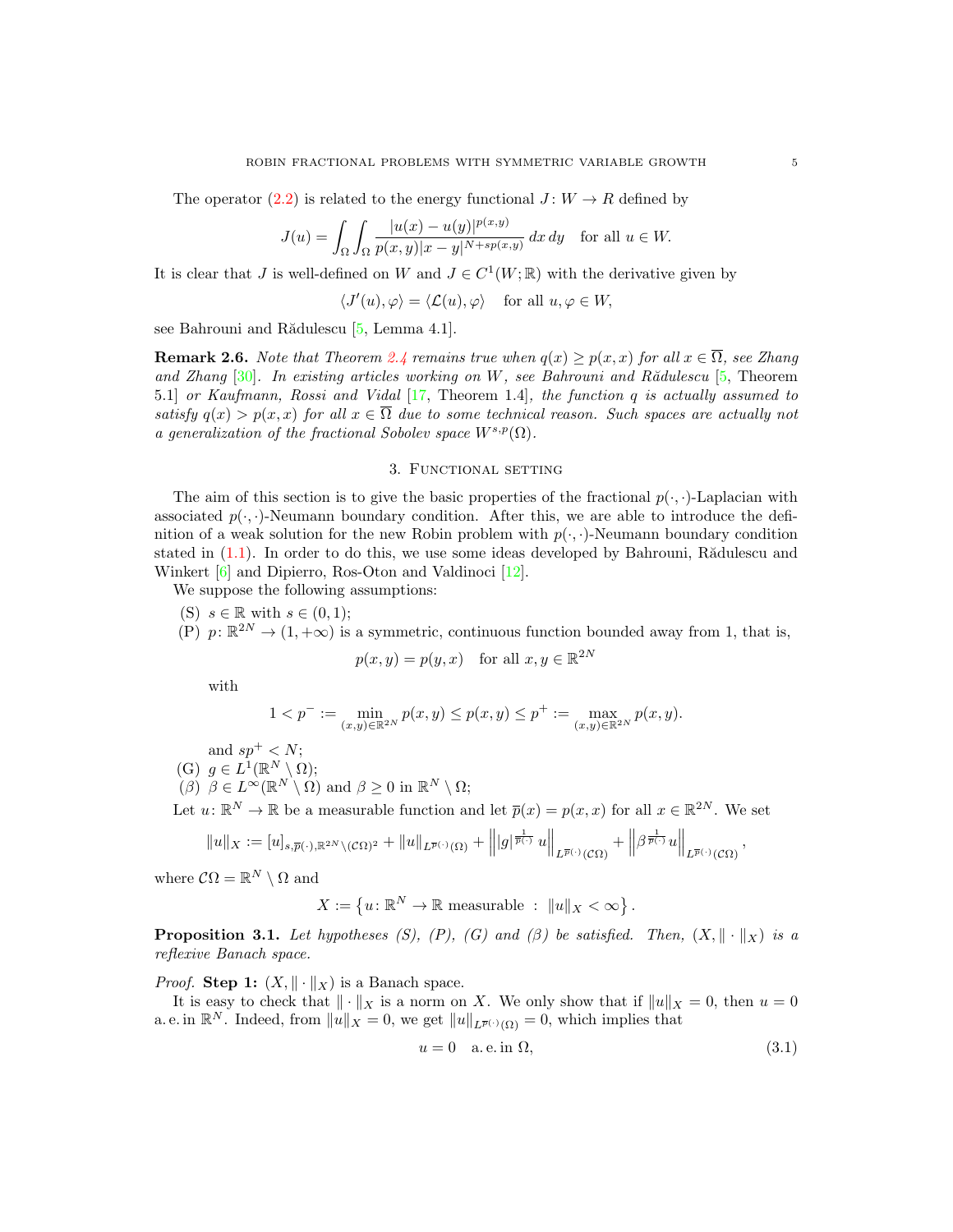The operator [\(2.2\)](#page-3-0) is related to the energy functional  $J: W \to R$  defined by

$$
J(u) = \int_{\Omega} \int_{\Omega} \frac{|u(x) - u(y)|^{p(x,y)}}{p(x,y)|x - y|^{N + sp(x,y)}} dx dy \text{ for all } u \in W.
$$

It is clear that J is well-defined on W and  $J \in C^1(W; \mathbb{R})$  with the derivative given by

$$
\langle J'(u), \varphi \rangle = \langle \mathcal{L}(u), \varphi \rangle \quad \text{for all } u, \varphi \in W,
$$

see Bahrouni and Rădulescu  $[5, \text{Lemma } 4.1].$  $[5, \text{Lemma } 4.1].$ 

<span id="page-4-2"></span>**Remark 2.6.** Note that Theorem [2.4](#page-3-1) remains true when  $q(x) \ge p(x, x)$  for all  $x \in \overline{\Omega}$ , see Zhang and Zhang  $[30]$ . In existing articles working on W, see Bahrouni and R $\tilde{a}$ dulescu  $[5,$  Theorem 5.1] or Kaufmann, Rossi and Vidal [\[17,](#page-16-6) Theorem 1.4], the function q is actually assumed to satisfy  $q(x) > p(x, x)$  for all  $x \in \overline{\Omega}$  due to some technical reason. Such spaces are actually not a generalization of the fractional Sobolev space  $W^{s,p}(\Omega)$ .

## 3. Functional setting

<span id="page-4-0"></span>The aim of this section is to give the basic properties of the fractional  $p(\cdot, \cdot)$ -Laplacian with associated  $p(\cdot, \cdot)$ -Neumann boundary condition. After this, we are able to introduce the definition of a weak solution for the new Robin problem with  $p(\cdot, \cdot)$ -Neumann boundary condition stated in  $(1.1)$ . In order to do this, we use some ideas developed by Bahrouni, Rădulescu and Winkert [\[6\]](#page-15-14) and Dipierro, Ros-Oton and Valdinoci [\[12\]](#page-15-9).

We suppose the following assumptions:

- (S)  $s \in \mathbb{R}$  with  $s \in (0,1)$ ;
- (P)  $p: \mathbb{R}^{2N} \to (1, +\infty)$  is a symmetric, continuous function bounded away from 1, that is,

$$
p(x, y) = p(y, x) \quad \text{for all } x, y \in \mathbb{R}^{2N}
$$

with

$$
1 < p^- := \min_{(x,y) \in \mathbb{R}^{2N}} p(x,y) \le p(x,y) \le p^+ := \max_{(x,y) \in \mathbb{R}^{2N}} p(x,y).
$$

and  $sp^+ < N$ ;

(G)  $g \in L^1(\mathbb{R}^N \setminus \Omega);$ 

 $(\beta)$   $\beta \in L^{\infty}(\mathbb{R}^N \setminus \Omega)$  and  $\beta \geq 0$  in  $\mathbb{R}^N \setminus \Omega;$ 

Let  $u: \mathbb{R}^N \to \mathbb{R}$  be a measurable function and let  $\overline{p}(x) = p(x, x)$  for all  $x \in \mathbb{R}^{2N}$ . We set

$$
||u||_X := [u]_{s,\overline{p}(\cdot),\mathbb{R}^{2N}\setminus(\mathcal{C}\Omega)^2} + ||u||_{L^{\overline{p}(\cdot)}(\Omega)} + ||g|^{\frac{1}{\overline{p}(\cdot)}} u||_{L^{\overline{p}(\cdot)}(\mathcal{C}\Omega)} + ||\beta^{\frac{1}{\overline{p}(\cdot)}} u||_{L^{\overline{p}(\cdot)}(\mathcal{C}\Omega)},
$$

where  $\mathcal{C}\Omega = \mathbb{R}^N \setminus \Omega$  and

$$
X := \left\{ u : \mathbb{R}^N \to \mathbb{R} \text{ measurable } : \ \|u\|_X < \infty \right\}.
$$

<span id="page-4-3"></span>**Proposition 3.1.** Let hypotheses (S), (P), (G) and (β) be satisfied. Then,  $(X, \|\cdot\|_X)$  is a reflexive Banach space.

*Proof.* Step 1:  $(X, \|\cdot\|_X)$  is a Banach space.

It is easy to check that  $\|\cdot\|_X$  is a norm on X. We only show that if  $\|u\|_X = 0$ , then  $u = 0$ a. e. in  $\mathbb{R}^N$ . Indeed, from  $||u||_X = 0$ , we get  $||u||_{L^{\overline{p}}(\cdot)}(Q) = 0$ , which implies that

<span id="page-4-1"></span>
$$
u = 0 \quad \text{a.e. in } \Omega,\tag{3.1}
$$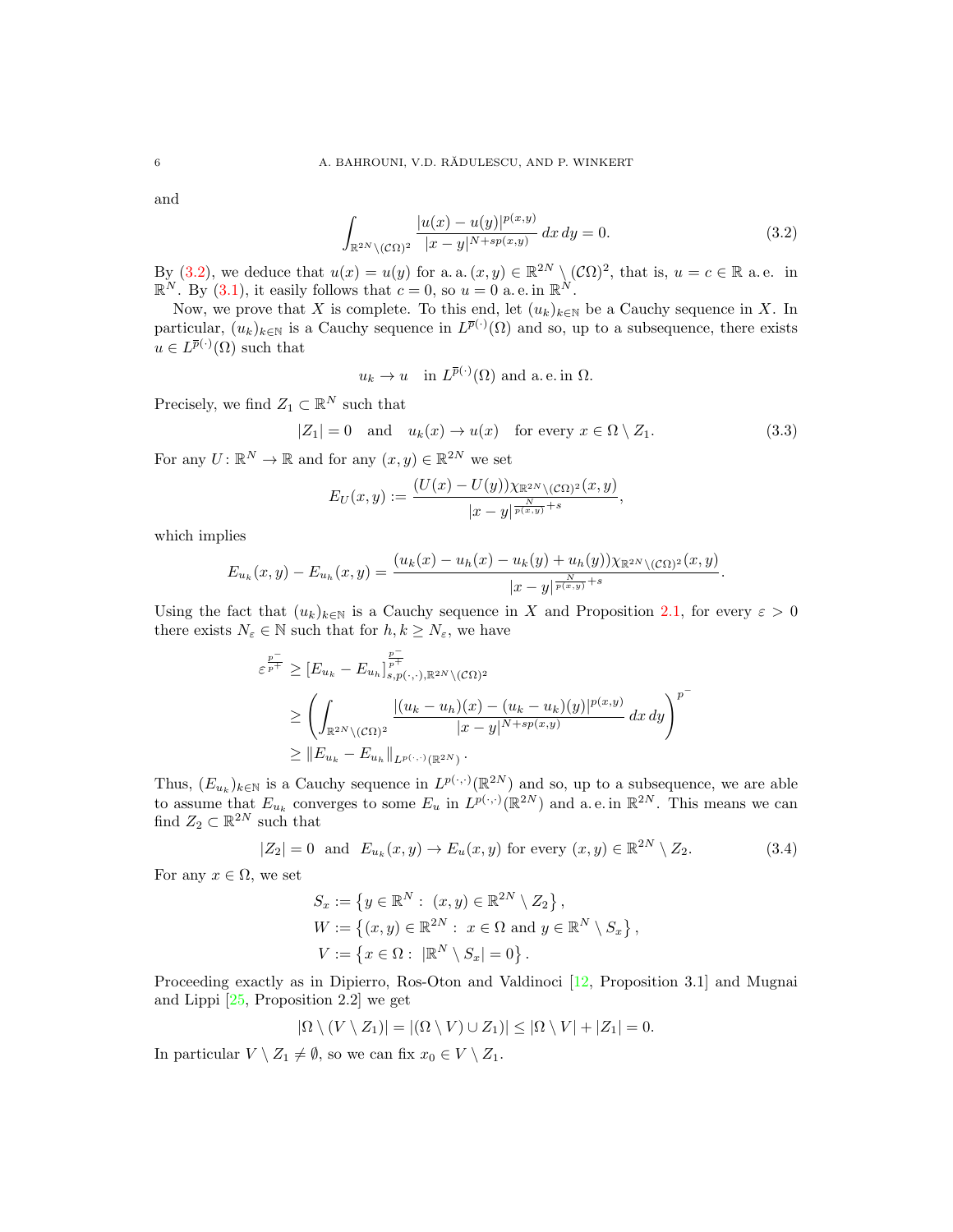and

<span id="page-5-0"></span>
$$
\int_{\mathbb{R}^{2N}\setminus(\mathcal{C}\Omega)^2} \frac{|u(x)-u(y)|^{p(x,y)}}{|x-y|^{N+sp(x,y)}} dx dy = 0.
$$
\n(3.2)

By [\(3.2\)](#page-5-0), we deduce that  $u(x) = u(y)$  for a. a.  $(x, y) \in \mathbb{R}^{2N} \setminus (\mathcal{C}\Omega)^2$ , that is,  $u = c \in \mathbb{R}$  a.e. in  $\mathbb{R}^N$ . By [\(3.1\)](#page-4-1), it easily follows that  $c = 0$ , so  $u = 0$  a.e. in  $\mathbb{R}^N$ .

Now, we prove that X is complete. To this end, let  $(u_k)_{k\in\mathbb{N}}$  be a Cauchy sequence in X. In particular,  $(u_k)_{k\in\mathbb{N}}$  is a Cauchy sequence in  $L^{\bar{p}(\cdot)}(\Omega)$  and so, up to a subsequence, there exists  $u \in L^{\overline{p}(\cdot)}(\Omega)$  such that

<span id="page-5-1"></span>
$$
u_k \to u
$$
 in  $L^{\overline{p}(\cdot)}(\Omega)$  and a.e. in  $\Omega$ .

Precisely, we find  $Z_1 \subset \mathbb{R}^N$  such that

$$
|Z_1| = 0 \quad \text{and} \quad u_k(x) \to u(x) \quad \text{for every } x \in \Omega \setminus Z_1. \tag{3.3}
$$

For any  $U: \mathbb{R}^N \to \mathbb{R}$  and for any  $(x, y) \in \mathbb{R}^{2N}$  we set

$$
E_U(x,y) := \frac{(U(x) - U(y))\chi_{\mathbb{R}^{2N}\setminus(\mathcal{C}\Omega)^2}(x,y)}{|x - y|^{\frac{N}{p(x,y)} + s}},
$$

which implies

$$
E_{u_k}(x,y) - E_{u_h}(x,y) = \frac{(u_k(x) - u_h(x) - u_k(y) + u_h(y))\chi_{\mathbb{R}^{2N}\setminus(\mathcal{C}\Omega)^2}(x,y)}{|x - y|^{\frac{N}{p(x,y)} + s}}.
$$

Using the fact that  $(u_k)_{k\in\mathbb{N}}$  is a Cauchy sequence in X and Proposition [2.1,](#page-2-1) for every  $\varepsilon > 0$ there exists  $N_{\varepsilon} \in \mathbb{N}$  such that for  $h, k \ge N_{\varepsilon}$ , we have

$$
\varepsilon^{\frac{p^-}{p^+}} \ge [E_{u_k} - E_{u_h}]_{s, p(\cdot, \cdot), \mathbb{R}^{2N} \setminus (\mathcal{C}\Omega)^2}^{\frac{p^-}{p^+}} \n\ge \left( \int_{\mathbb{R}^{2N} \setminus (\mathcal{C}\Omega)^2} \frac{|(u_k - u_h)(x) - (u_k - u_k)(y)|^{p(x,y)}}{|x - y|^{N + sp(x,y)}} dx dy \right)^{p^-} \n\ge ||E_{u_k} - E_{u_h}||_{L^{p(\cdot, \cdot)}(\mathbb{R}^{2N})}.
$$

Thus,  $(E_{u_k})_{k \in \mathbb{N}}$  is a Cauchy sequence in  $L^{p(\cdot,\cdot)}(\mathbb{R}^{2N})$  and so, up to a subsequence, we are able to assume that  $E_{u_k}$  converges to some  $E_u$  in  $L^{p(\cdot,\cdot)}(\mathbb{R}^{2N})$  and a.e. in  $\mathbb{R}^{2N}$ . This means we can find  $Z_2 \subset \mathbb{R}^{2N}$  such that

$$
|Z_2| = 0 \text{ and } E_{u_k}(x, y) \to E_u(x, y) \text{ for every } (x, y) \in \mathbb{R}^{2N} \setminus Z_2.
$$
 (3.4)

For any  $x \in \Omega$ , we set

<span id="page-5-2"></span>
$$
S_x := \{ y \in \mathbb{R}^N : (x, y) \in \mathbb{R}^{2N} \setminus Z_2 \},
$$
  
\n
$$
W := \{ (x, y) \in \mathbb{R}^{2N} : x \in \Omega \text{ and } y \in \mathbb{R}^N \setminus S_x \},
$$
  
\n
$$
V := \{ x \in \Omega : |\mathbb{R}^N \setminus S_x| = 0 \}.
$$

Proceeding exactly as in Dipierro, Ros-Oton and Valdinoci [\[12,](#page-15-9) Proposition 3.1] and Mugnai and Lippi [\[25,](#page-16-7) Proposition 2.2] we get

$$
|\Omega \setminus (V \setminus Z_1)| = |(\Omega \setminus V) \cup Z_1)| \leq |\Omega \setminus V| + |Z_1| = 0.
$$

In particular  $V \setminus Z_1 \neq \emptyset$ , so we can fix  $x_0 \in V \setminus Z_1$ .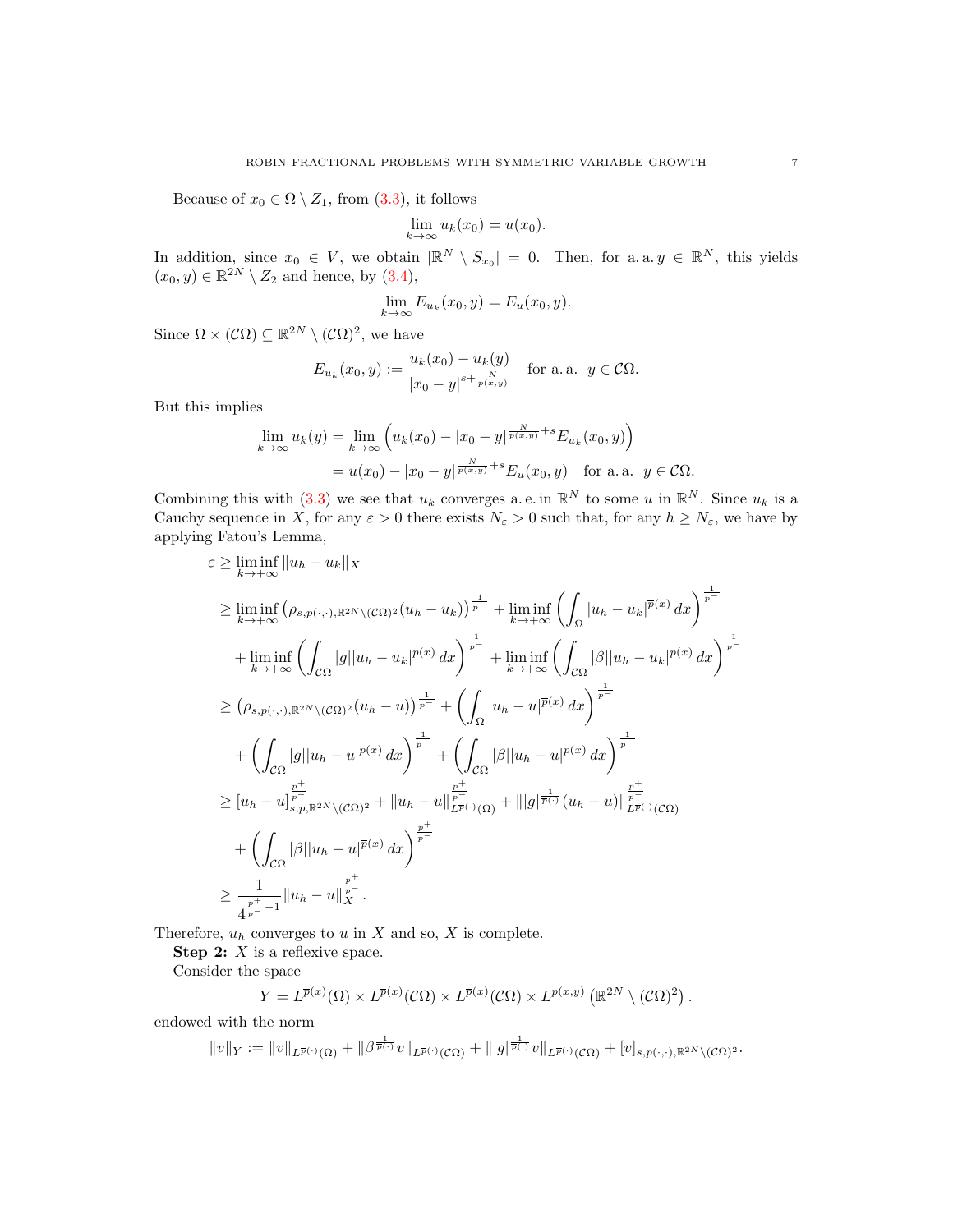Because of  $x_0 \in \Omega \setminus Z_1$ , from [\(3.3\)](#page-5-1), it follows

$$
\lim_{k \to \infty} u_k(x_0) = u(x_0).
$$

In addition, since  $x_0 \in V$ , we obtain  $\mathbb{R}^N \setminus S_{x_0} = 0$ . Then, for a.a.  $y \in \mathbb{R}^N$ , this yields  $(x_0, y) \in \mathbb{R}^{2N} \setminus Z_2$  and hence, by  $(3.4)$ ,

$$
\lim_{k \to \infty} E_{u_k}(x_0, y) = E_u(x_0, y).
$$

Since  $\Omega \times (\mathcal{C}\Omega) \subseteq \mathbb{R}^{2N} \setminus (\mathcal{C}\Omega)^2$ , we have

$$
E_{u_k}(x_0, y) := \frac{u_k(x_0) - u_k(y)}{|x_0 - y|^{s + \frac{N}{p(x, y)}}}
$$
 for a. a.  $y \in C\Omega$ .

But this implies

$$
\lim_{k \to \infty} u_k(y) = \lim_{k \to \infty} \left( u_k(x_0) - |x_0 - y| \overline{p(x,y)} + s E_{u_k}(x_0, y) \right)
$$
  
=  $u(x_0) - |x_0 - y| \overline{p(x,y)} + s E_u(x_0, y)$  for a.a.  $y \in C\Omega$ .

Combining this with  $(3.3)$  we see that  $u_k$  converges a.e. in  $\mathbb{R}^N$  to some u in  $\mathbb{R}^N$ . Since  $u_k$  is a Cauchy sequence in X, for any  $\varepsilon > 0$  there exists  $N_{\varepsilon} > 0$  such that, for any  $h \ge N_{\varepsilon}$ , we have by applying Fatou's Lemma,

$$
\varepsilon \geq \liminf_{k \to +\infty} \|u_h - u_k\|_X
$$
  
\n
$$
\geq \liminf_{k \to +\infty} (\rho_{s,p(\cdot,\cdot),\mathbb{R}^{2N}\setminus(\mathcal{C}\Omega)^2} (u_h - u_k))^\frac{1}{p^-} + \liminf_{k \to +\infty} \left( \int_{\Omega} |u_h - u_k|^{p(x)} dx \right)^\frac{1}{p^-}
$$
  
\n
$$
+ \liminf_{k \to +\infty} \left( \int_{\mathcal{C}\Omega} |g| |u_h - u_k|^{p(x)} dx \right)^\frac{1}{p^-} + \liminf_{k \to +\infty} \left( \int_{\mathcal{C}\Omega} |\beta| |u_h - u_k|^{p(x)} dx \right)^\frac{1}{p^-}
$$
  
\n
$$
\geq (\rho_{s,p(\cdot,\cdot),\mathbb{R}^{2N}\setminus(\mathcal{C}\Omega)^2} (u_h - u))^\frac{1}{p^-} + \left( \int_{\Omega} |u_h - u|^{p(x)} dx \right)^\frac{1}{p^-}
$$
  
\n
$$
+ \left( \int_{\mathcal{C}\Omega} |g| |u_h - u|^{p(x)} dx \right)^\frac{1}{p^-} + \left( \int_{\mathcal{C}\Omega} |\beta| |u_h - u|^{p(x)} dx \right)^\frac{1}{p^-}
$$
  
\n
$$
\geq [u_h - u]^\frac{p^+}{p^-}
$$
  
\n
$$
\geq [u_h - u]^\frac{p^+}{p^-}
$$
  
\n
$$
+ \left( \int_{\mathcal{C}\Omega} |\beta| |u_h - u|^{p(x)} dx \right)^\frac{p^+}{p^-}
$$
  
\n
$$
+ \left( \int_{\mathcal{C}\Omega} |\beta| |u_h - u|^\frac{p^+}{p(x)} dx \right)^\frac{p^+}{p^-}
$$
  
\n
$$
\geq \frac{1}{4^{\frac{p^+}{p^-}-1}} \|u_h - u\|^\frac{p^+}{p^-}.
$$

Therefore,  $u_h$  converges to u in X and so, X is complete.

**Step 2:**  $X$  is a reflexive space.

Consider the space

$$
Y = L^{\overline{p}(x)}(\Omega) \times L^{\overline{p}(x)}(\mathcal{C}\Omega) \times L^{\overline{p}(x)}(\mathcal{C}\Omega) \times L^{p(x,y)}\left(\mathbb{R}^{2N} \setminus (\mathcal{C}\Omega)^2\right).
$$

endowed with the norm

$$
||v||_Y:=||v||_{L^{\overline{p}(\cdot)}(\Omega)}+||\beta^{\frac{1}{\overline{p}(\cdot)}}v||_{L^{\overline{p}(\cdot)}(\mathcal{C}\Omega)}+|||g|^{\frac{1}{\overline{p}(\cdot)}}v||_{L^{\overline{p}(\cdot)}(\mathcal{C}\Omega)}+ [v]_{s,p(\cdot,\cdot),{\mathbb{R}}^{2N}\setminus(\mathcal{C}\Omega)^2}.
$$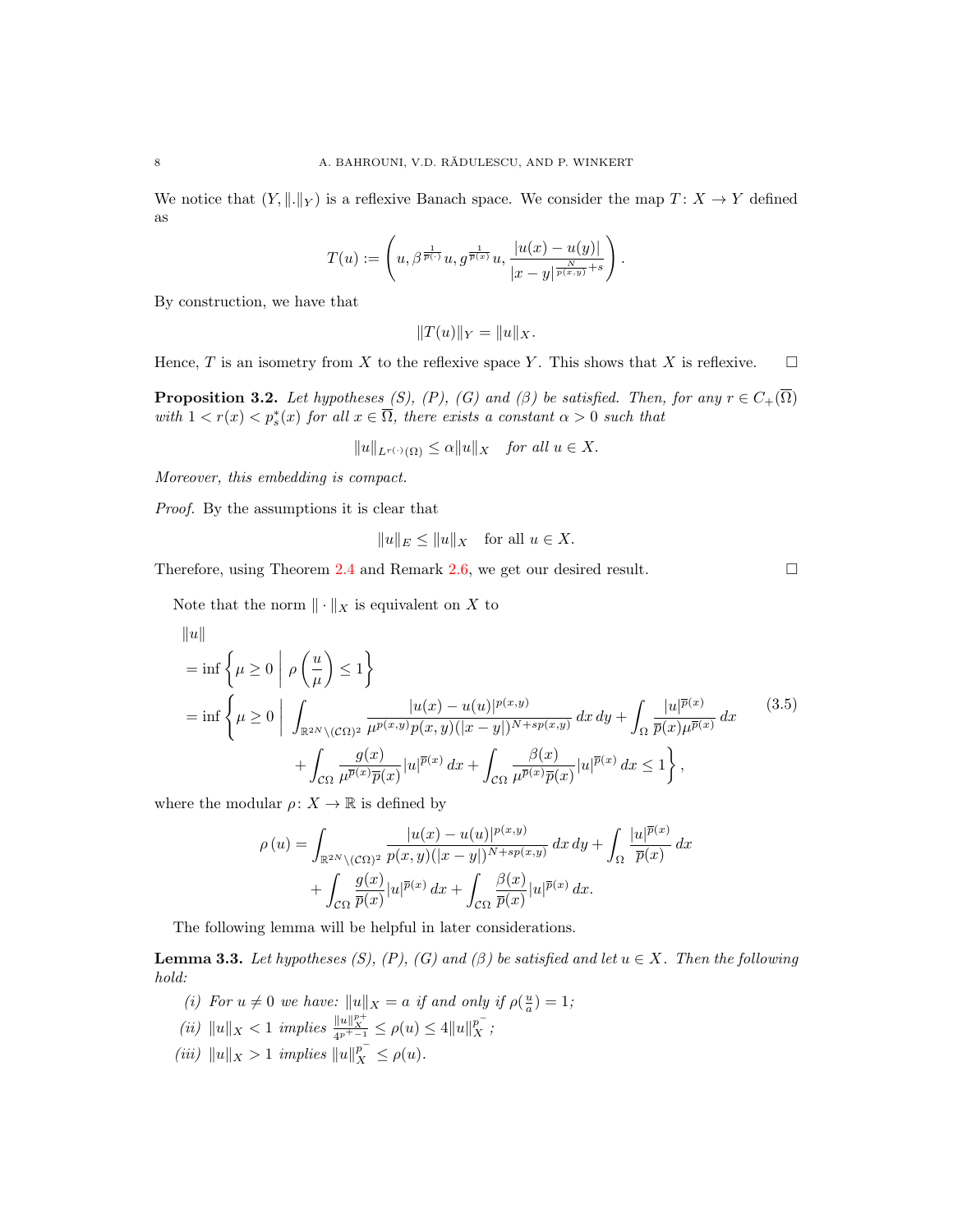We notice that  $(Y, \|.\|_Y)$  is a reflexive Banach space. We consider the map  $T: X \to Y$  defined as

$$
T(u):=\left(u,\beta^{\frac{1}{\overline{p}(\cdot)}}u,g^{\frac{1}{\overline{p}(x)}}u,\frac{|u(x)-u(y)|}{|x-y|^{\frac{N}{\overline{p}(x,y)}+s}}\right).
$$

By construction, we have that

$$
||T(u)||_Y = ||u||_X.
$$

Hence, T is an isometry from X to the reflexive space Y. This shows that X is reflexive.  $\square$ 

<span id="page-7-2"></span>**Proposition 3.2.** Let hypotheses (S), (P), (G) and ( $\beta$ ) be satisfied. Then, for any  $r \in C_+(\overline{\Omega})$ with  $1 < r(x) < p_s^*(x)$  for all  $x \in \overline{\Omega}$ , there exists a constant  $\alpha > 0$  such that

$$
||u||_{L^{r(\cdot)}(\Omega)} \le \alpha ||u||_X \quad \text{for all } u \in X.
$$

Moreover, this embedding is compact.

Proof. By the assumptions it is clear that

$$
||u||_E \le ||u||_X \quad \text{for all } u \in X.
$$

Therefore, using Theorem [2.4](#page-3-1) and Remark [2.6,](#page-4-2) we get our desired result.  $\square$ 

<span id="page-7-0"></span>

Note that the norm  $\|\cdot\|_X$  is equivalent on X to

$$
\|u\|
$$
\n
$$
= \inf \left\{ \mu \ge 0 \mid \rho \left( \frac{u}{\mu} \right) \le 1 \right\}
$$
\n
$$
= \inf \left\{ \mu \ge 0 \mid \int_{\mathbb{R}^{2N} \setminus (\mathcal{C}\Omega)^2} \frac{|u(x) - u(u)|^{p(x,y)}}{\mu^{p(x,y)} p(x,y) (|x-y|)^{N+sp(x,y)}} dx dy + \int_{\Omega} \frac{|u|^{\overline{p}(x)}}{\overline{p}(x)\mu^{\overline{p}(x)}} dx \right\}
$$
\n
$$
+ \int_{\mathcal{C}\Omega} \frac{g(x)}{\mu^{\overline{p}(x)} \overline{p}(x)} |u|^{\overline{p}(x)} dx + \int_{\mathcal{C}\Omega} \frac{\beta(x)}{\mu^{\overline{p}(x)} \overline{p}(x)} |u|^{\overline{p}(x)} dx \le 1 \right\},
$$
\n(3.5)

where the modular  $\rho: X \to \mathbb{R}$  is defined by

$$
\rho(u) = \int_{\mathbb{R}^{2N} \setminus (\mathcal{C}\Omega)^2} \frac{|u(x) - u(u)|^{p(x,y)}}{p(x,y)(|x-y|)^{N+sp(x,y)}} dx dy + \int_{\Omega} \frac{|u|^{\overline{p}(x)}}{\overline{p}(x)} dx
$$

$$
+ \int_{\mathcal{C}\Omega} \frac{g(x)}{\overline{p}(x)} |u|^{\overline{p}(x)} dx + \int_{\mathcal{C}\Omega} \frac{\beta(x)}{\overline{p}(x)} |u|^{\overline{p}(x)} dx.
$$

The following lemma will be helpful in later considerations.

<span id="page-7-1"></span>**Lemma 3.3.** Let hypotheses (S), (P), (G) and ( $\beta$ ) be satisfied and let  $u \in X$ . Then the following hold:

- (i) For  $u \neq 0$  we have:  $||u||_X = a$  if and only if  $\rho(\frac{u}{a}) = 1$ ;
- (ii)  $||u||_X < 1$  implies  $\frac{||u||_{X}^{p+1}}{4^{p^+-1}} \le \rho(u) \le 4||u||_X^{p^-}$ ;
- (iii)  $||u||_X > 1$  implies  $||u||_X^{p^-} \le \rho(u)$ .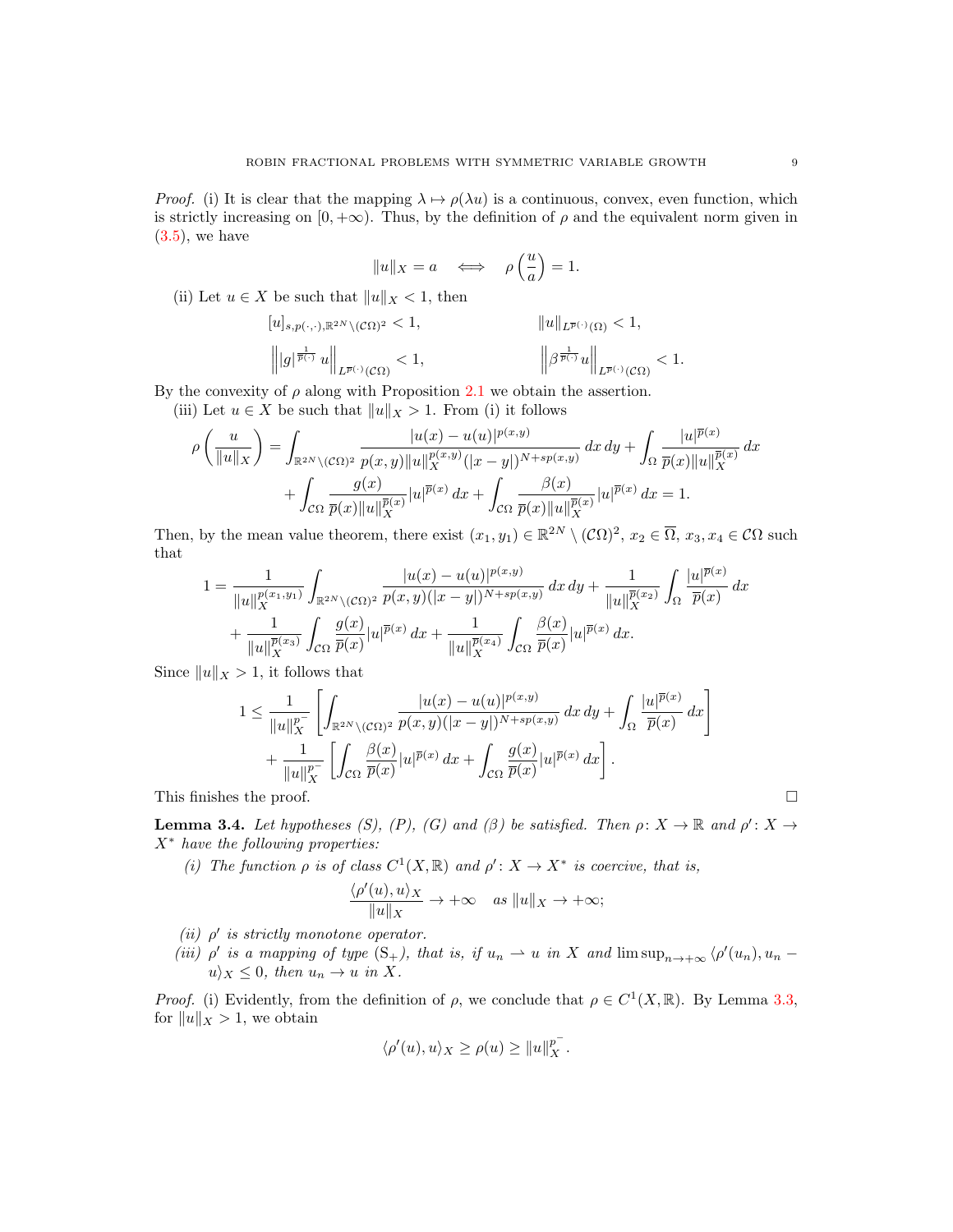*Proof.* (i) It is clear that the mapping  $\lambda \mapsto \rho(\lambda u)$  is a continuous, convex, even function, which is strictly increasing on  $[0, +\infty)$ . Thus, by the definition of  $\rho$  and the equivalent norm given in  $(3.5)$ , we have

$$
||u||_X = a \quad \Longleftrightarrow \quad \rho\left(\frac{u}{a}\right) = 1.
$$

(ii) Let  $u \in X$  be such that  $||u||_X < 1$ , then

$$
\begin{array}{ll} [u]_{s,p(\cdot,\cdot),\mathbb{R}^{2N}\backslash(\mathcal{C}\Omega)^2}<1, &\qquad&\qquad&\qquad\|u\|_{L^{\overline{p}(\cdot)}(\Omega)}<1,\\ \left\| |g|^{\frac{1}{\overline{p}(\cdot)}}\, u\right\|_{L^{\overline{p}(\cdot)}(\mathcal{C}\Omega)}<1, &\qquad&\qquad&\qquad\left\| \beta^{\frac{1}{\overline{p}(\cdot)}} u\right\|_{L^{\overline{p}(\cdot)}(\mathcal{C}\Omega)}<1. \end{array}
$$

By the convexity of  $\rho$  along with Proposition [2.1](#page-2-1) we obtain the assertion.

(iii) Let  $u \in X$  be such that  $||u||_X > 1$ . From (i) it follows

$$
\rho\left(\frac{u}{\|u\|_X}\right) = \int_{\mathbb{R}^{2N}\backslash(\mathcal{C}\Omega)^2} \frac{|u(x)-u(u)|^{p(x,y)}}{p(x,y)\|u\|_X^{p(x,y)}(|x-y|)^{N+sp(x,y)}} dx dy + \int_{\Omega} \frac{|u|^{\overline{p}(x)}}{\overline{p}(x)\|u\|_X^{\overline{p}(x)}} dx
$$

$$
+ \int_{\mathcal{C}\Omega} \frac{g(x)}{\overline{p}(x)\|u\|_X^{\overline{p}(x)}} |u|^{\overline{p}(x)} dx + \int_{\mathcal{C}\Omega} \frac{\beta(x)}{\overline{p}(x)\|u\|_X^{\overline{p}(x)}} |u|^{\overline{p}(x)} dx = 1.
$$

Then, by the mean value theorem, there exist  $(x_1, y_1) \in \mathbb{R}^{2N} \setminus (\mathcal{C}\Omega)^2$ ,  $x_2 \in \overline{\Omega}$ ,  $x_3, x_4 \in \mathcal{C}\Omega$  such that

$$
1 = \frac{1}{\|u\|_X^{p(x_1, y_1)}} \int_{\mathbb{R}^{2N} \setminus (\mathcal{C}\Omega)^2} \frac{|u(x) - u(u)|^{p(x, y)}}{p(x, y)(|x - y|)^{N + sp(x, y)}} dx dy + \frac{1}{\|u\|_X^{\overline{p}(x_2)}} \int_{\Omega} \frac{|u|^{\overline{p}(x)}}{\overline{p}(x)} dx + \frac{1}{\|u\|_X^{\overline{p}(x_3)}} \int_{\mathcal{C}\Omega} \frac{g(x)}{\overline{p}(x)} |u|^{\overline{p}(x)} dx + \frac{1}{\|u\|_X^{\overline{p}(x_4)}} \int_{\mathcal{C}\Omega} \frac{\beta(x)}{\overline{p}(x)} |u|^{\overline{p}(x)} dx.
$$

Since  $||u||_X > 1$ , it follows that

$$
1 \leq \frac{1}{\|u\|_X^{p^-}} \left[ \int_{\mathbb{R}^{2N} \setminus (\mathcal{C}\Omega)^2} \frac{|u(x) - u(u)|^{p(x,y)}}{p(x,y)(|x-y|)^{N+sp(x,y)}} dx dy + \int_{\Omega} \frac{|u|^{\overline{p}(x)}}{\overline{p}(x)} dx \right] + \frac{1}{\|u\|_X^{p^-}} \left[ \int_{\mathcal{C}\Omega} \frac{\beta(x)}{\overline{p}(x)} |u|^{\overline{p}(x)} dx + \int_{\mathcal{C}\Omega} \frac{g(x)}{\overline{p}(x)} |u|^{\overline{p}(x)} dx \right].
$$

This finishes the proof.  $\Box$ 

<span id="page-8-0"></span>**Lemma 3.4.** Let hypotheses (S), (P), (G) and ( $\beta$ ) be satisfied. Then  $\rho: X \to \mathbb{R}$  and  $\rho': X \to$  $X^*$  have the following properties:

(i) The function  $\rho$  is of class  $C^1(X,\mathbb{R})$  and  $\rho' : X \to X^*$  is coercive, that is,

$$
\frac{\langle \rho'(u), u \rangle_X}{\|u\|_X} \to +\infty \quad \text{as } \|u\|_X \to +\infty;
$$

(ii)  $\rho'$  is strictly monotone operator.

(iii)  $\rho'$  is a mapping of type  $(S_+)$ , that is, if  $u_n \rightharpoonup u$  in X and  $\limsup_{n \to +\infty} \langle \rho'(u_n), u_n$  $u \rangle_X \leq 0$ , then  $u_n \to u$  in X.

*Proof.* (i) Evidently, from the definition of  $\rho$ , we conclude that  $\rho \in C^1(X,\mathbb{R})$ . By Lemma [3.3,](#page-7-1) for  $||u||_X > 1$ , we obtain

$$
\langle \rho'(u), u \rangle_X \ge \rho(u) \ge ||u||_X^{p^-}.
$$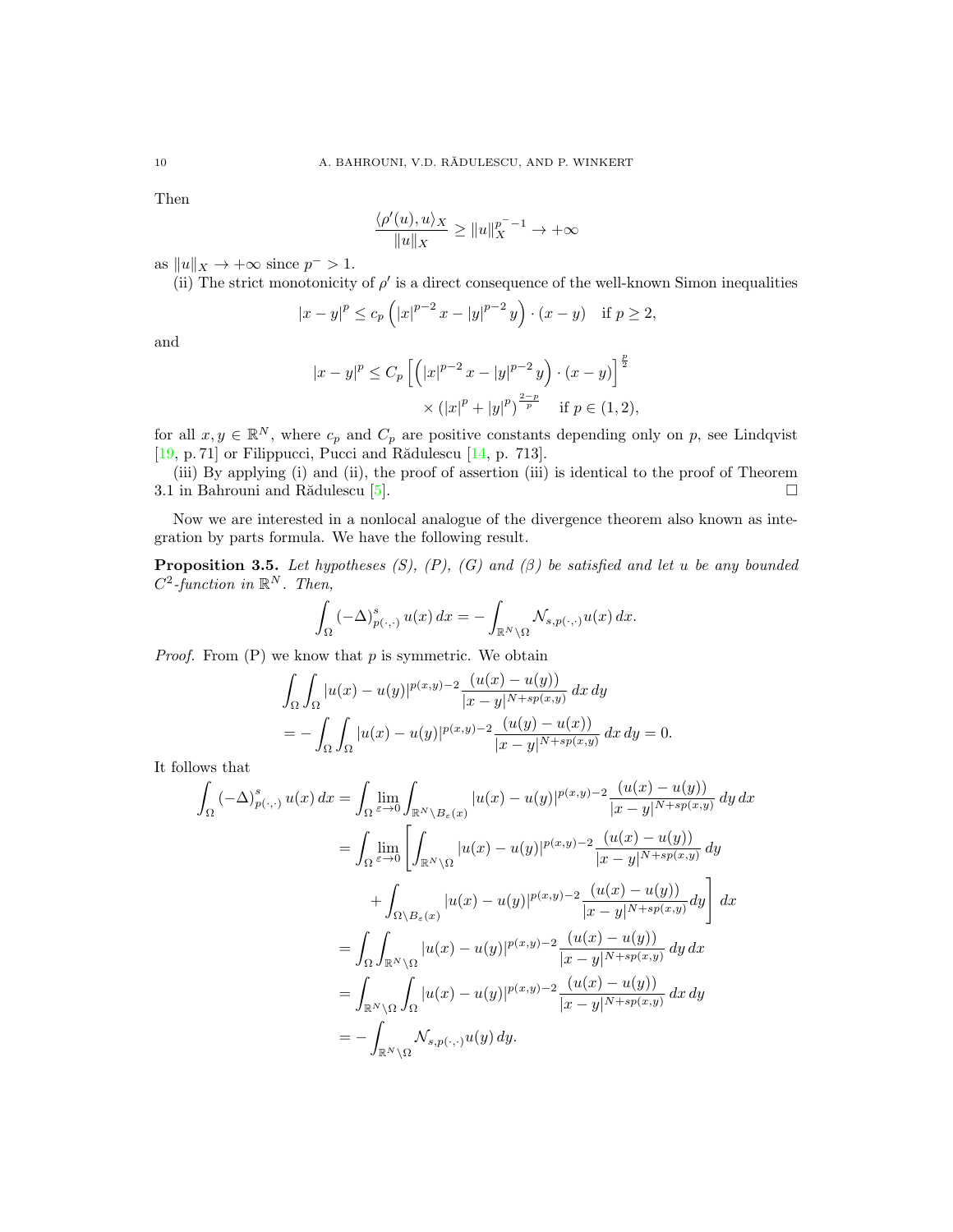Then

$$
\frac{\langle \rho'(u), u \rangle_X}{\|u\|_X} \ge \|u\|_X^{p^- - 1} \to +\infty
$$

as  $||u||_X \to +\infty$  since  $p^- > 1$ .

(ii) The strict monotonicity of  $\rho'$  is a direct consequence of the well-known Simon inequalities

$$
|x-y|^p \le c_p (|x|^{p-2} x - |y|^{p-2} y) \cdot (x - y)
$$
 if  $p \ge 2$ ,

and

$$
|x - y|^p \le C_p \left[ \left( |x|^{p-2} x - |y|^{p-2} y \right) \cdot (x - y) \right]^{\frac{p}{2}} \times (|x|^p + |y|^p)^{\frac{2-p}{p}} \quad \text{if } p \in (1, 2),
$$

for all  $x, y \in \mathbb{R}^N$ , where  $c_p$  and  $C_p$  are positive constants depending only on p, see Lindqvist [\[19,](#page-16-13) p. 71] or Filippucci, Pucci and Rădulescu [\[14,](#page-15-15) p. 713].

(iii) By applying (i) and (ii), the proof of assertion (iii) is identical to the proof of Theorem 3.1 in Bahrouni and Rădulescu [\[5\]](#page-15-5).  $\square$ 

Now we are interested in a nonlocal analogue of the divergence theorem also known as integration by parts formula. We have the following result.

**Proposition 3.5.** Let hypotheses  $(S)$ ,  $(P)$ ,  $(G)$  and  $(\beta)$  be satisfied and let u be any bounded  $C^2$ -function in  $\mathbb{R}^N$ . Then,

$$
\int_{\Omega} \left( -\Delta \right)^s_{p(\cdot, \cdot)} u(x) \, dx = - \int_{\mathbb{R}^N \backslash \Omega} \mathcal{N}_{s, p(\cdot, \cdot)} u(x) \, dx.
$$

*Proof.* From  $(P)$  we know that  $p$  is symmetric. We obtain

$$
\int_{\Omega} \int_{\Omega} |u(x) - u(y)|^{p(x,y)-2} \frac{(u(x) - u(y))}{|x - y|^{N + sp(x,y)}} dx dy
$$
  
= 
$$
- \int_{\Omega} \int_{\Omega} |u(x) - u(y)|^{p(x,y)-2} \frac{(u(y) - u(x))}{|x - y|^{N + sp(x,y)}} dx dy = 0.
$$

It follows that

$$
\int_{\Omega} \left( -\Delta \right)_{p(\cdot,\cdot)}^{s} u(x) dx = \int_{\Omega} \lim_{\varepsilon \to 0} \int_{\mathbb{R}^{N} \setminus B_{\varepsilon}(x)} |u(x) - u(y)|^{p(x,y)-2} \frac{(u(x) - u(y))}{|x - y|^{N + sp(x,y)}} dy dx
$$

$$
= \int_{\Omega} \lim_{\varepsilon \to 0} \left[ \int_{\mathbb{R}^{N} \setminus \Omega} |u(x) - u(y)|^{p(x,y)-2} \frac{(u(x) - u(y))}{|x - y|^{N + sp(x,y)}} dy \right]
$$

$$
+ \int_{\Omega \setminus B_{\varepsilon}(x)} |u(x) - u(y)|^{p(x,y)-2} \frac{(u(x) - u(y))}{|x - y|^{N + sp(x,y)}} dy \right] dx
$$

$$
= \int_{\Omega} \int_{\mathbb{R}^{N} \setminus \Omega} |u(x) - u(y)|^{p(x,y)-2} \frac{(u(x) - u(y))}{|x - y|^{N + sp(x,y)}} dy dx
$$

$$
= \int_{\mathbb{R}^{N} \setminus \Omega} \int_{\Omega} |u(x) - u(y)|^{p(x,y)-2} \frac{(u(x) - u(y))}{|x - y|^{N + sp(x,y)}} dx dy
$$

$$
= - \int_{\mathbb{R}^{N} \setminus \Omega} \mathcal{N}_{s, p(\cdot, \cdot)} u(y) dy.
$$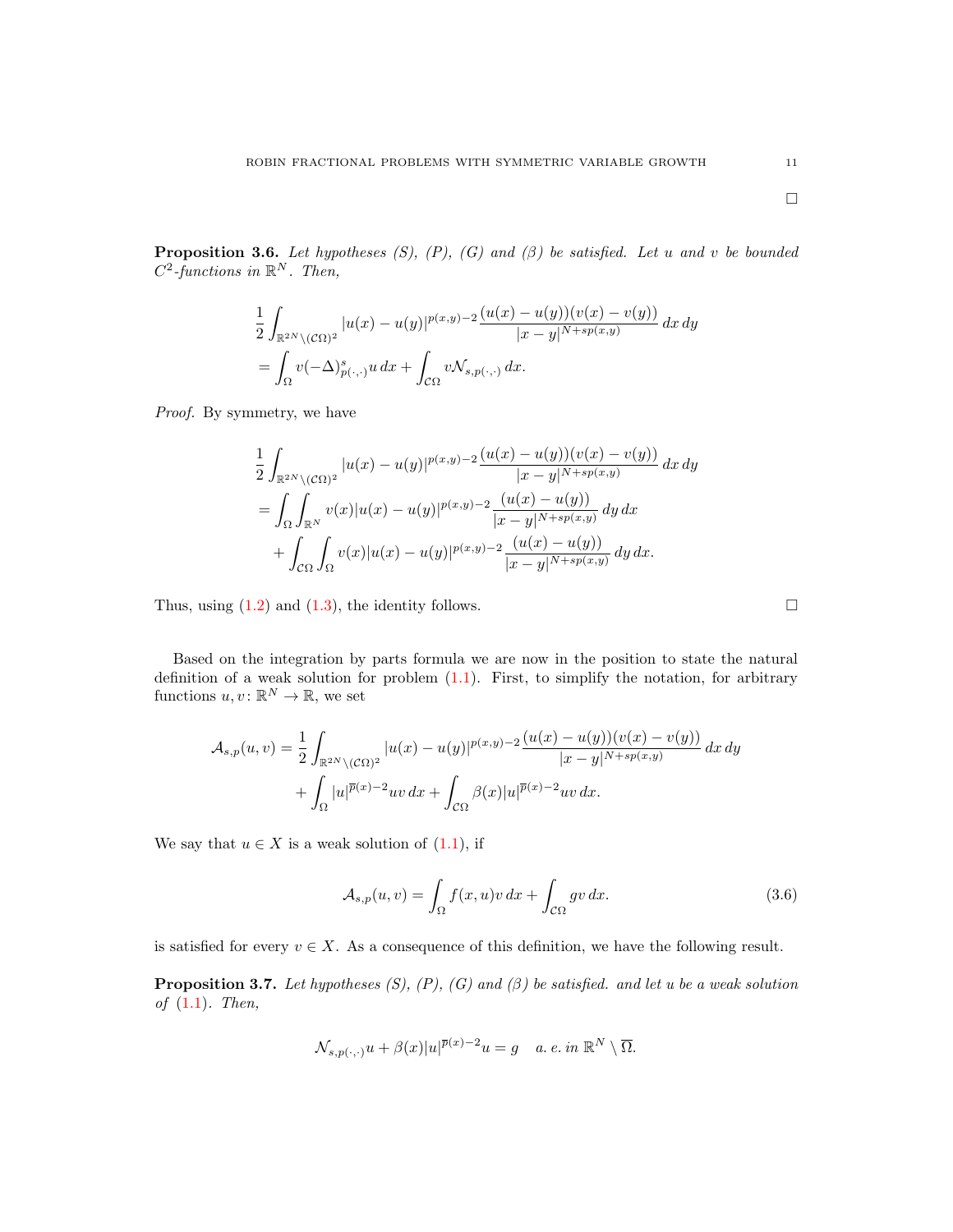**Proposition 3.6.** Let hypotheses (S), (P), (G) and ( $\beta$ ) be satisfied. Let u and v be bounded  $C^2$ -functions in  $\mathbb{R}^N$ . Then,

$$
\frac{1}{2} \int_{\mathbb{R}^{2N} \setminus (\mathcal{C}\Omega)^2} |u(x) - u(y)|^{p(x,y)-2} \frac{(u(x) - u(y))(v(x) - v(y))}{|x - y|^{N + sp(x,y)}} dx dy
$$

$$
= \int_{\Omega} v(-\Delta)_{p(\cdot,\cdot)}^s u dx + \int_{\mathcal{C}\Omega} v \mathcal{N}_{s,p(\cdot,\cdot)} dx.
$$

Proof. By symmetry, we have

$$
\frac{1}{2} \int_{\mathbb{R}^{2N} \setminus (\mathcal{C}\Omega)^2} |u(x) - u(y)|^{p(x,y)-2} \frac{(u(x) - u(y))(v(x) - v(y))}{|x - y|^{N + sp(x,y)}} dx dy
$$
\n
$$
= \int_{\Omega} \int_{\mathbb{R}^N} v(x) |u(x) - u(y)|^{p(x,y)-2} \frac{(u(x) - u(y))}{|x - y|^{N + sp(x,y)}} dy dx
$$
\n
$$
+ \int_{\mathcal{C}\Omega} \int_{\Omega} v(x) |u(x) - u(y)|^{p(x,y)-2} \frac{(u(x) - u(y))}{|x - y|^{N + sp(x,y)}} dy dx.
$$

Thus, using  $(1.2)$  and  $(1.3)$ , the identity follows.

Based on the integration by parts formula we are now in the position to state the natural definition of a weak solution for problem [\(1.1\)](#page-1-1). First, to simplify the notation, for arbitrary functions  $u, v \colon \mathbb{R}^N \to \mathbb{R}$ , we set

$$
\mathcal{A}_{s,p}(u,v) = \frac{1}{2} \int_{\mathbb{R}^{2N} \setminus (\mathcal{C}\Omega)^2} |u(x) - u(y)|^{p(x,y)-2} \frac{(u(x) - u(y))(v(x) - v(y))}{|x - y|^{N + sp(x,y)}} dx dy + \int_{\Omega} |u|^{\overline{p}(x)-2} uv dx + \int_{\mathcal{C}\Omega} \beta(x) |u|^{\overline{p}(x)-2} uv dx.
$$

We say that  $u \in X$  is a weak solution of  $(1.1)$ , if

$$
\mathcal{A}_{s,p}(u,v) = \int_{\Omega} f(x,u)v \, dx + \int_{\mathcal{C}\Omega} gv \, dx. \tag{3.6}
$$

is satisfied for every  $v \in X$ . As a consequence of this definition, we have the following result.

**Proposition 3.7.** Let hypotheses  $(S)$ ,  $(P)$ ,  $(G)$  and  $(\beta)$  be satisfied. and let u be a weak solution of  $(1.1)$ . Then,

$$
\mathcal{N}_{s,p(\cdot,\cdot)}u + \beta(x)|u|^{\overline{p}(x)-2}u = g \quad a.\ e.\ in\ \mathbb{R}^N\setminus\overline{\Omega}.
$$

<span id="page-10-0"></span>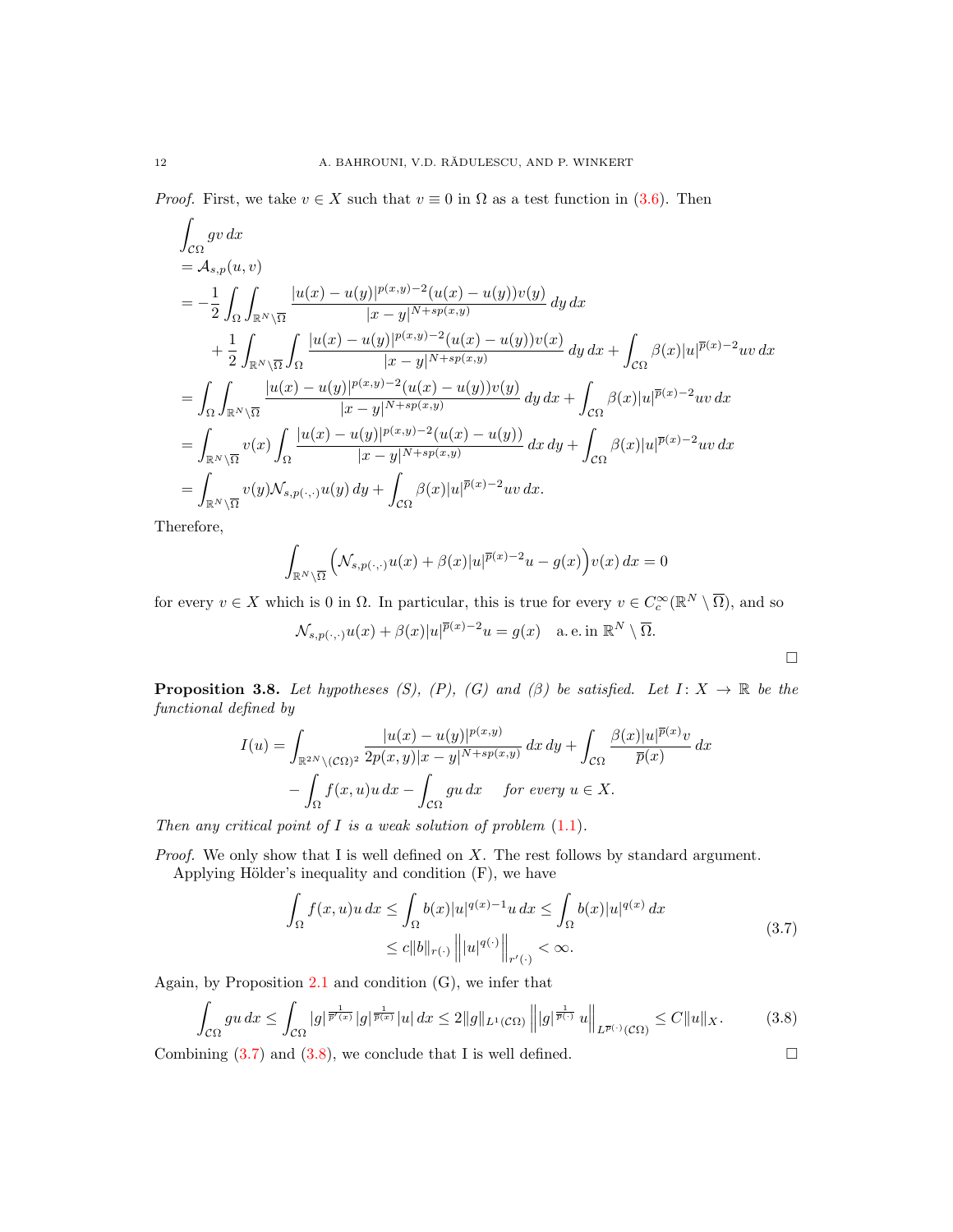*Proof.* First, we take  $v \in X$  such that  $v \equiv 0$  in  $\Omega$  as a test function in [\(3.6\)](#page-10-0). Then

$$
\int_{\mathcal{C}\Omega} g v \, dx
$$
\n
$$
= \mathcal{A}_{s,p}(u,v)
$$
\n
$$
= -\frac{1}{2} \int_{\Omega} \int_{\mathbb{R}^N \backslash \overline{\Omega}} \frac{|u(x) - u(y)|^{p(x,y)-2} (u(x) - u(y)) v(y)}{|x - y|^{N + sp(x,y)}} dy \, dx
$$
\n
$$
+ \frac{1}{2} \int_{\mathbb{R}^N \backslash \overline{\Omega}} \int_{\Omega} \frac{|u(x) - u(y)|^{p(x,y)-2} (u(x) - u(y)) v(x)}{|x - y|^{N + sp(x,y)}} dy \, dx + \int_{\mathcal{C}\Omega} \beta(x)|u|^{\overline{p}(x)-2} uv \, dx
$$
\n
$$
= \int_{\Omega} \int_{\mathbb{R}^N \backslash \overline{\Omega}} \frac{|u(x) - u(y)|^{p(x,y)-2} (u(x) - u(y)) v(y)}{|x - y|^{N + sp(x,y)}} dy \, dx + \int_{\mathcal{C}\Omega} \beta(x)|u|^{\overline{p}(x)-2} uv \, dx
$$
\n
$$
= \int_{\mathbb{R}^N \backslash \overline{\Omega}} v(x) \int_{\Omega} \frac{|u(x) - u(y)|^{p(x,y)-2} (u(x) - u(y))}{|x - y|^{N + sp(x,y)}} dx \, dy + \int_{\mathcal{C}\Omega} \beta(x)|u|^{\overline{p}(x)-2} uv \, dx
$$
\n
$$
= \int_{\mathbb{R}^N \backslash \overline{\Omega}} v(y) \mathcal{N}_{s,p(\cdot,\cdot)} u(y) \, dy + \int_{\mathcal{C}\Omega} \beta(x)|u|^{\overline{p}(x)-2} uv \, dx.
$$

Therefore,

$$
\int_{\mathbb{R}^N \setminus \overline{\Omega}} \left( \mathcal{N}_{s, p(\cdot, \cdot)} u(x) + \beta(x) |u|^{\overline{p}(x) - 2} u - g(x) \right) v(x) dx = 0
$$

for every  $v \in X$  which is 0 in  $\Omega$ . In particular, this is true for every  $v \in C_c^{\infty}(\mathbb{R}^N \setminus \overline{\Omega})$ , and so

$$
\mathcal{N}_{s,p(\cdot,\cdot)}u(x)+\beta(x)|u|^{\overline{p}(x)-2}u=g(x)\quad\text{a.e. in }\mathbb{R}^N\setminus\overline{\Omega}.
$$

<span id="page-11-2"></span>**Proposition 3.8.** Let hypotheses (S), (P), (G) and ( $\beta$ ) be satisfied. Let  $I: X \to \mathbb{R}$  be the functional defined by

$$
I(u) = \int_{\mathbb{R}^{2N} \setminus (\mathcal{C}\Omega)^2} \frac{|u(x) - u(y)|^{p(x,y)}}{2p(x,y)|x - y|^{N + sp(x,y)}} dx dy + \int_{\mathcal{C}\Omega} \frac{\beta(x)|u|^{\overline{p}(x)}v}{\overline{p}(x)} dx
$$

$$
- \int_{\Omega} f(x,u)u dx - \int_{\mathcal{C}\Omega} gu dx \quad \text{for every } u \in X.
$$

Then any critical point of  $I$  is a weak solution of problem  $(1.1)$ .

*Proof.* We only show that I is well defined on  $X$ . The rest follows by standard argument. Applying Hölder's inequality and condition  $(F)$ , we have

<span id="page-11-1"></span><span id="page-11-0"></span>
$$
\int_{\Omega} f(x, u)u dx \le \int_{\Omega} b(x)|u|^{q(x)-1}u dx \le \int_{\Omega} b(x)|u|^{q(x)} dx
$$
  
\n
$$
\le c||b||_{r(\cdot)} |||u|^{q(\cdot)}||_{r'(\cdot)} < \infty.
$$
\n(3.7)

Again, by Proposition  $2.1$  and condition  $(G)$ , we infer that

$$
\int_{\mathcal{C}\Omega} gu \, dx \le \int_{\mathcal{C}\Omega} |g|^{\frac{1}{\overline{p'(x)}}} |g|^{\frac{1}{\overline{p(x)}}} |u| \, dx \le 2 \|g\|_{L^1(\mathcal{C}\Omega)} \left\| |g|^{\frac{1}{\overline{p}(x)}} u \right\|_{L^{\overline{p}(x)}(\mathcal{C}\Omega)} \le C \|u\|_{X}. \tag{3.8}
$$

Combining  $(3.7)$  and  $(3.8)$ , we conclude that I is well defined.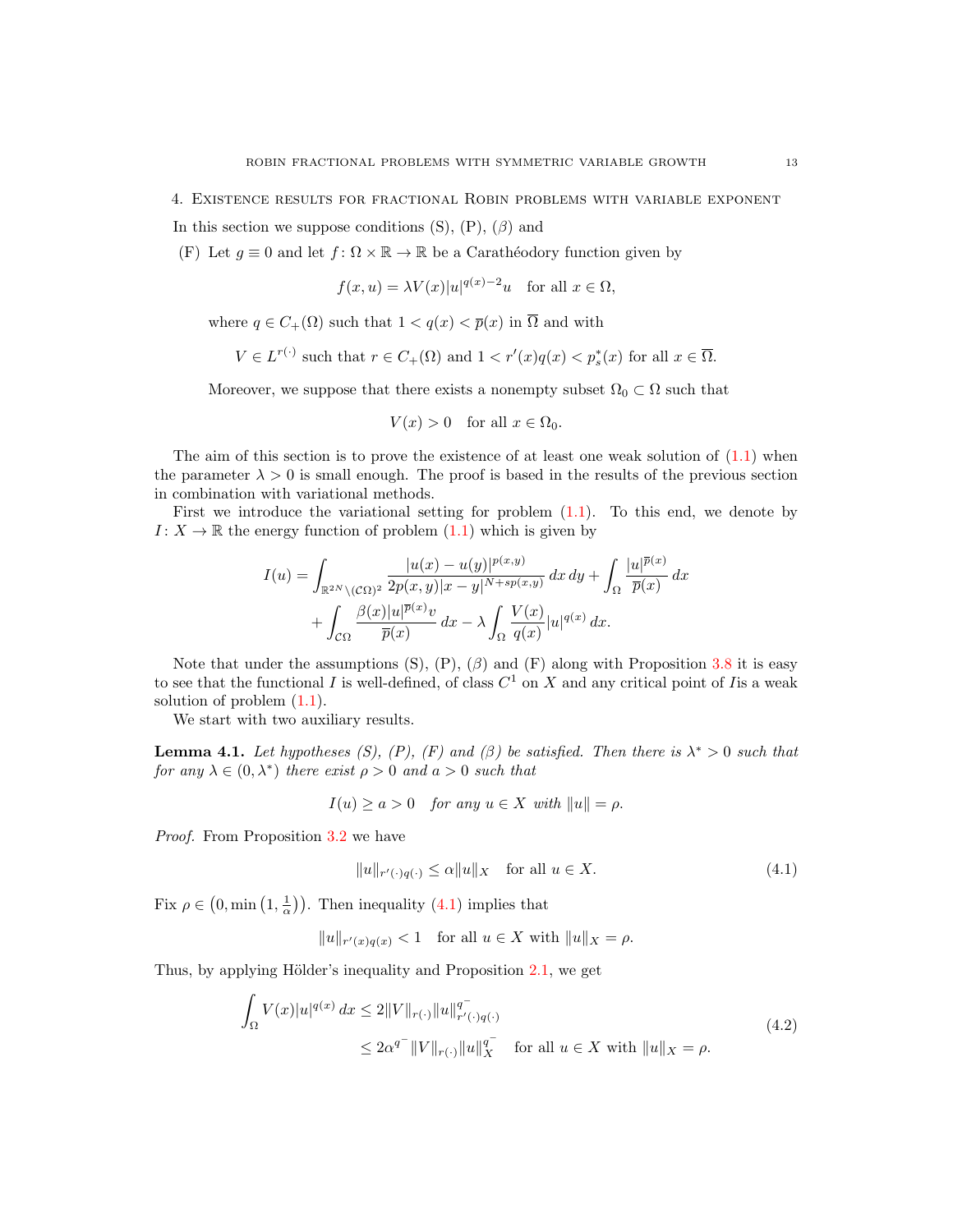<span id="page-12-0"></span>4. Existence results for fractional Robin problems with variable exponent

In this section we suppose conditions  $(S)$ ,  $(P)$ ,  $(\beta)$  and

(F) Let  $g \equiv 0$  and let  $f: \Omega \times \mathbb{R} \to \mathbb{R}$  be a Carathéodory function given by

$$
f(x, u) = \lambda V(x)|u|^{q(x)-2}u
$$
 for all  $x \in \Omega$ ,

where  $q \in C_+(\Omega)$  such that  $1 < q(x) < \overline{p}(x)$  in  $\overline{\Omega}$  and with

$$
V \in L^{r(\cdot)} \text{ such that } r \in C_+(\Omega) \text{ and } 1 < r'(x)q(x) < p_s^*(x) \text{ for all } x \in \overline{\Omega}.
$$

Moreover, we suppose that there exists a nonempty subset  $\Omega_0 \subset \Omega$  such that

$$
V(x) > 0 \quad \text{for all } x \in \Omega_0.
$$

The aim of this section is to prove the existence of at least one weak solution of  $(1.1)$  when the parameter  $\lambda > 0$  is small enough. The proof is based in the results of the previous section in combination with variational methods.

First we introduce the variational setting for problem [\(1.1\)](#page-1-1). To this end, we denote by  $I: X \to \mathbb{R}$  the energy function of problem  $(1.1)$  which is given by

$$
I(u) = \int_{\mathbb{R}^{2N} \setminus (\mathcal{C}\Omega)^2} \frac{|u(x) - u(y)|^{p(x,y)}}{2p(x,y)|x - y|^{N + sp(x,y)}} dx dy + \int_{\Omega} \frac{|u|^{\overline{p}(x)}}{\overline{p}(x)} dx
$$

$$
+ \int_{\mathcal{C}\Omega} \frac{\beta(x)|u|^{\overline{p}(x)}v}{\overline{p}(x)} dx - \lambda \int_{\Omega} \frac{V(x)}{q(x)} |u|^{q(x)} dx.
$$

Note that under the assumptions  $(S)$ ,  $(P)$ ,  $(\beta)$  and  $(F)$  along with Proposition [3.8](#page-11-2) it is easy to see that the functional I is well-defined, of class  $C^1$  on X and any critical point of I is a weak solution of problem [\(1.1\)](#page-1-1).

We start with two auxiliary results.

<span id="page-12-3"></span>**Lemma 4.1.** Let hypotheses (S), (P), (F) and ( $\beta$ ) be satisfied. Then there is  $\lambda^* > 0$  such that for any  $\lambda \in (0, \lambda^*)$  there exist  $\rho > 0$  and  $a > 0$  such that

$$
I(u) \ge a > 0 \quad \text{for any } u \in X \text{ with } ||u|| = \rho.
$$

Proof. From Proposition [3.2](#page-7-2) we have

<span id="page-12-2"></span><span id="page-12-1"></span>
$$
||u||_{r'(\cdot)q(\cdot)} \le \alpha ||u||_X \quad \text{for all } u \in X. \tag{4.1}
$$

Fix  $\rho \in (0, \min(1, \frac{1}{\alpha}))$ . Then inequality  $(4.1)$  implies that

$$
||u||_{r'(x)q(x)} < 1 \quad \text{for all } u \in X \text{ with } ||u||_X = \rho.
$$

Thus, by applying Hölder's inequality and Proposition  $2.1$ , we get

$$
\int_{\Omega} V(x)|u|^{q(x)} dx \le 2\|V\|_{r(\cdot)} \|u\|_{r'(\cdot)q(\cdot)}^{q^-}
$$
\n
$$
\le 2\alpha^{q^-} \|V\|_{r(\cdot)} \|u\|_{X}^{q^-} \quad \text{for all } u \in X \text{ with } \|u\|_{X} = \rho.
$$
\n(4.2)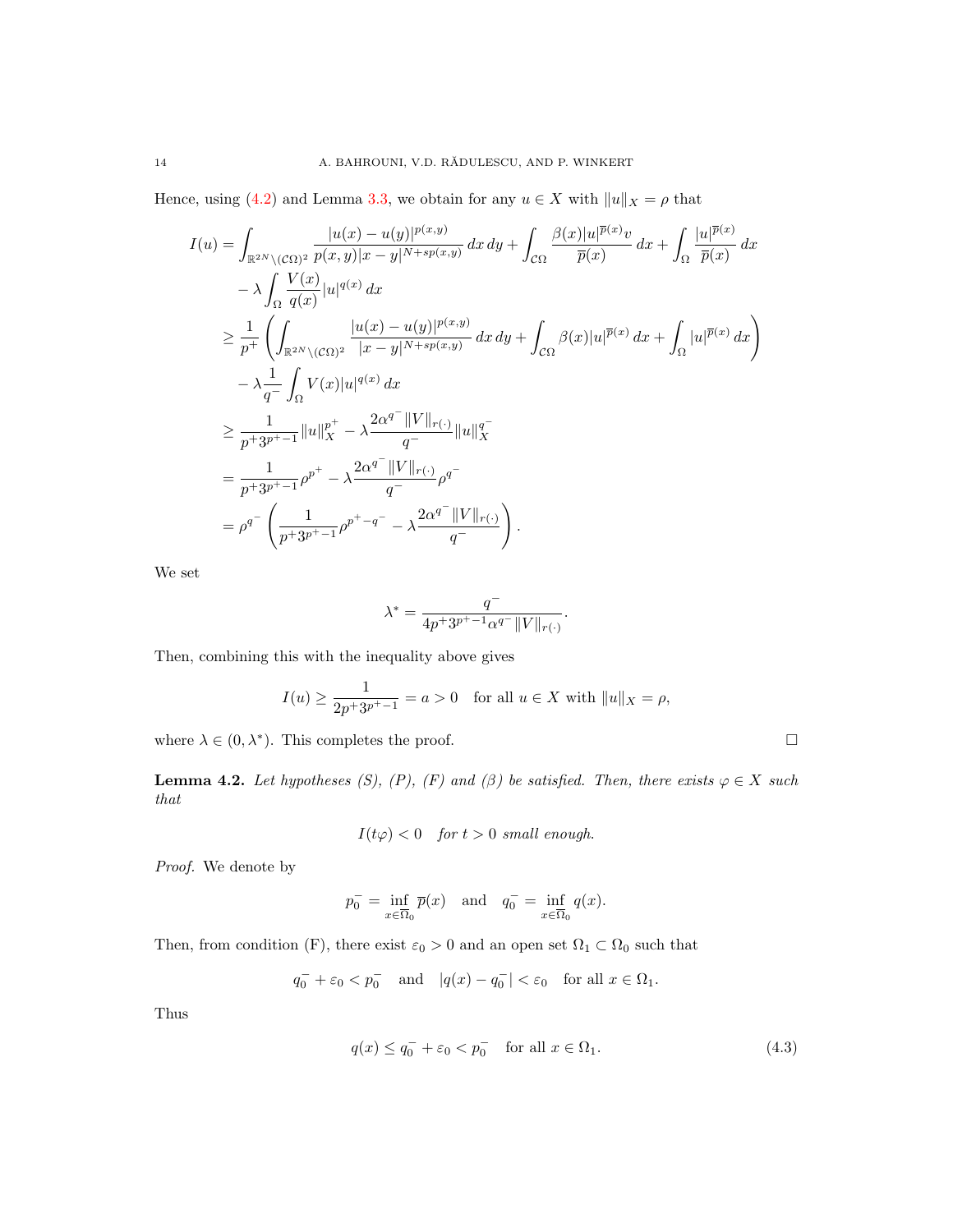Hence, using [\(4.2\)](#page-12-2) and Lemma [3.3,](#page-7-1) we obtain for any  $u \in X$  with  $||u||_X = \rho$  that

$$
I(u) = \int_{\mathbb{R}^{2N} \setminus (C\Omega)^2} \frac{|u(x) - u(y)|^{p(x,y)}}{p(x,y)|x - y|^{N + sp(x,y)}} dx dy + \int_{C\Omega} \frac{\beta(x)|u|^{p(x)}v}{\overline{p}(x)} dx + \int_{\Omega} \frac{|u|^{p(x)}}{\overline{p}(x)} dx - \lambda \int_{\Omega} \frac{V(x)}{q(x)}|u|^{q(x)} dx \geq \frac{1}{p^{+}} \left( \int_{\mathbb{R}^{2N} \setminus (C\Omega)^2} \frac{|u(x) - u(y)|^{p(x,y)}}{|x - y|^{N + sp(x,y)}} dx dy + \int_{C\Omega} \beta(x)|u|^{p(x)} dx + \int_{\Omega} |u|^{p(x)} dx \right) - \lambda \frac{1}{q^{-}} \int_{\Omega} V(x)|u|^{q(x)} dx \geq \frac{1}{p + 3p^{+} - 1} ||u||_{X}^{p^{+}} - \lambda \frac{2\alpha^{q^{-}} ||V||_{r(\cdot)}}{q^{-}} ||u||_{X}^{q^{-}} = \frac{1}{p + 3p^{+} - 1} \rho^{p^{+}} - \lambda \frac{2\alpha^{q^{-}} ||V||_{r(\cdot)}}{q^{-}} \rho^{q^{-}} = \rho^{q^{-}} \left( \frac{1}{p + 3p^{+} - 1} \rho^{p^{+} - q^{-}} - \lambda \frac{2\alpha^{q^{-}} ||V||_{r(\cdot)}}{q^{-}} \right).
$$

We set

$$
\lambda^* = \frac{q^-}{4p^+3^{p^+-1}\alpha^{q^-}\|V\|_{r(\cdot)}}.
$$

Then, combining this with the inequality above gives

$$
I(u) \ge \frac{1}{2p+3p^*-1} = a > 0
$$
 for all  $u \in X$  with  $||u||_X = \rho$ ,

where  $\lambda \in (0, \lambda^*)$ . This completes the proof.

<span id="page-13-1"></span>**Lemma 4.2.** Let hypotheses (S), (P), (F) and ( $\beta$ ) be satisfied. Then, there exists  $\varphi \in X$  such that

$$
I(t\varphi) < 0 \quad \text{for } t > 0 \text{ small enough.}
$$

Proof. We denote by

$$
p_0^- = \inf_{x \in \overline{\Omega}_0} \overline{p}(x) \quad \text{and} \quad q_0^- = \inf_{x \in \overline{\Omega}_0} q(x).
$$

Then, from condition (F), there exist  $\varepsilon_0 > 0$  and an open set  $\Omega_1 \subset \Omega_0$  such that

$$
q_0^- + \varepsilon_0 < p_0^- \quad \text{and} \quad |q(x) - q_0^-| < \varepsilon_0 \quad \text{for all } x \in \Omega_1.
$$

Thus

<span id="page-13-0"></span>
$$
q(x) \le q_0^- + \varepsilon_0 < p_0^- \quad \text{for all } x \in \Omega_1. \tag{4.3}
$$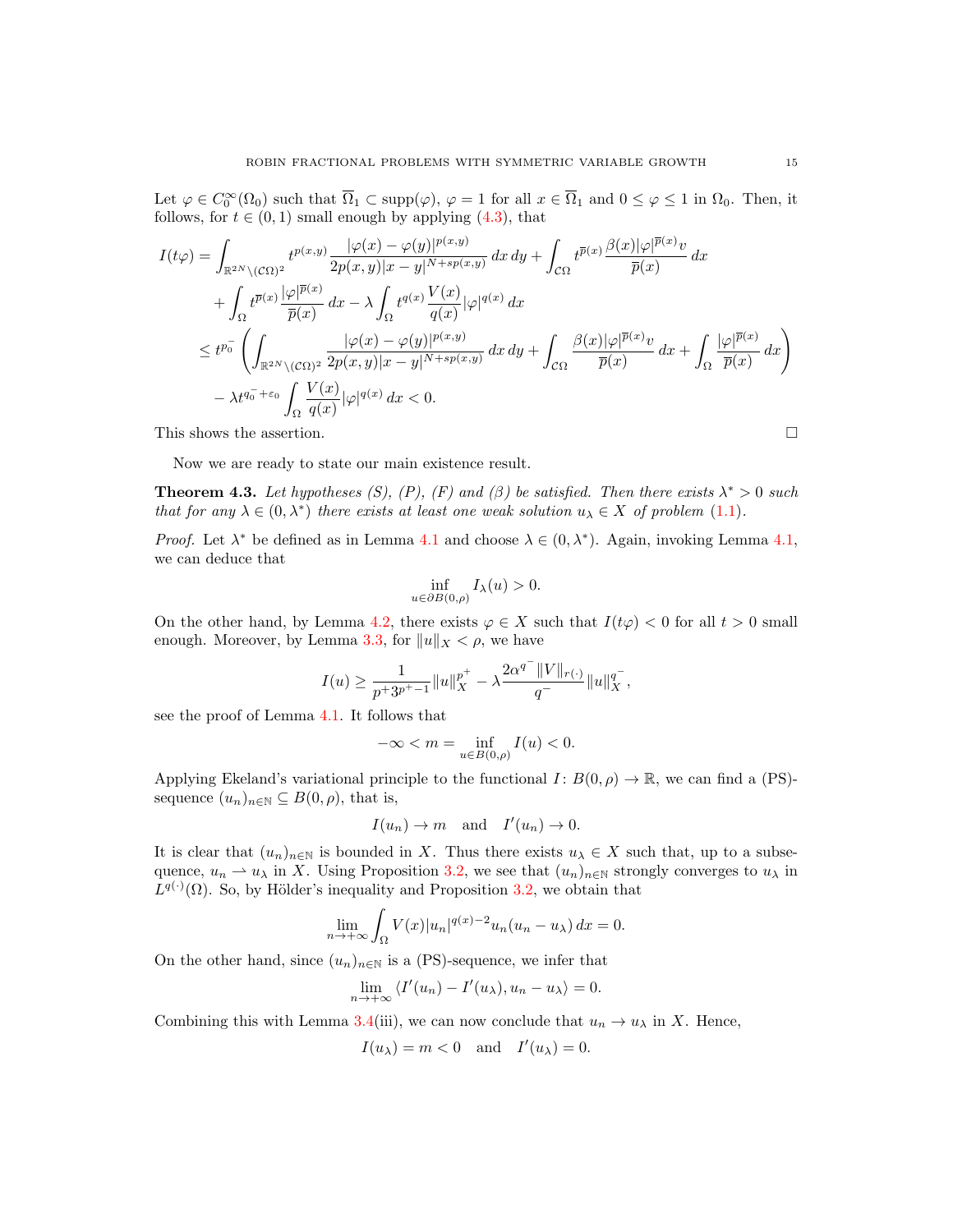Let  $\varphi \in C_0^{\infty}(\Omega_0)$  such that  $\overline{\Omega}_1 \subset \text{supp}(\varphi)$ ,  $\varphi = 1$  for all  $x \in \overline{\Omega}_1$  and  $0 \le \varphi \le 1$  in  $\Omega_0$ . Then, it follows, for  $t \in (0, 1)$  small enough by applying  $(4.3)$ , that

$$
I(t\varphi) = \int_{\mathbb{R}^{2N} \setminus (C\Omega)^2} t^{p(x,y)} \frac{|\varphi(x) - \varphi(y)|^{p(x,y)}}{2p(x,y)|x - y|^{N+sp(x,y)}} dx dy + \int_{C\Omega} t^{\overline{p}(x)} \frac{\beta(x)|\varphi|^{\overline{p}(x)}v}{\overline{p}(x)} dx + \int_{\Omega} t^{\overline{p}(x)} \frac{|\varphi|^{\overline{p}(x)}}{\overline{p}(x)} dx - \lambda \int_{\Omega} t^{q(x)} \frac{V(x)}{q(x)} |\varphi|^{q(x)} dx \leq t^{p_0^-} \left( \int_{\mathbb{R}^{2N} \setminus (C\Omega)^2} \frac{|\varphi(x) - \varphi(y)|^{p(x,y)}}{2p(x,y)|x - y|^{N+sp(x,y)}} dx dy + \int_{C\Omega} \frac{\beta(x)|\varphi|^{\overline{p}(x)}v}{\overline{p}(x)} dx + \int_{\Omega} \frac{|\varphi|^{\overline{p}(x)}}{\overline{p}(x)} dx \right) - \lambda t^{q_0^- + \varepsilon_0} \int_{\Omega} \frac{V(x)}{q(x)} |\varphi|^{q(x)} dx < 0.
$$

This shows the assertion.  $\Box$ 

Now we are ready to state our main existence result.

<span id="page-14-0"></span>**Theorem 4.3.** Let hypotheses (S), (P), (F) and ( $\beta$ ) be satisfied. Then there exists  $\lambda^* > 0$  such that for any  $\lambda \in (0, \lambda^*)$  there exists at least one weak solution  $u_{\lambda} \in X$  of problem [\(1.1\)](#page-1-1).

*Proof.* Let  $\lambda^*$  be defined as in Lemma [4.1](#page-12-3) and choose  $\lambda \in (0, \lambda^*)$ . Again, invoking Lemma [4.1,](#page-12-3) we can deduce that

$$
\inf_{u \in \partial B(0,\rho)} I_{\lambda}(u) > 0.
$$

On the other hand, by Lemma [4.2,](#page-13-1) there exists  $\varphi \in X$  such that  $I(t\varphi) < 0$  for all  $t > 0$  small enough. Moreover, by Lemma [3.3,](#page-7-1) for  $||u||_X < \rho$ , we have

$$
I(u)\geq \frac{1}{p^+3^{p^+-1}}\|u\|_X^{p^+}-\lambda \frac{2\alpha^{q^-}\|V\|_{r(\cdot)}}{q^-}\|u\|_X^{q^-},
$$

see the proof of Lemma [4.1.](#page-12-3) It follows that

$$
-\infty < m = \inf_{u \in B(0,\rho)} I(u) < 0.
$$

Applying Ekeland's variational principle to the functional  $I: B(0, \rho) \to \mathbb{R}$ , we can find a (PS)sequence  $(u_n)_{n\in\mathbb{N}}\subseteq B(0,\rho)$ , that is,

$$
I(u_n) \to m
$$
 and  $I'(u_n) \to 0$ .

It is clear that  $(u_n)_{n\in\mathbb{N}}$  is bounded in X. Thus there exists  $u_\lambda \in X$  such that, up to a subsequence,  $u_n \rightharpoonup u_\lambda$  in X. Using Proposition [3.2,](#page-7-2) we see that  $(u_n)_{n\in\mathbb{N}}$  strongly converges to  $u_\lambda$  in  $L^{q(\cdot)}(\Omega)$ . So, by Hölder's inequality and Proposition [3.2,](#page-7-2) we obtain that

$$
\lim_{n \to +\infty} \int_{\Omega} V(x) |u_n|^{q(x)-2} u_n(u_n - u_\lambda) dx = 0.
$$

On the other hand, since  $(u_n)_{n\in\mathbb{N}}$  is a (PS)-sequence, we infer that

$$
\lim_{n \to +\infty} \langle I'(u_n) - I'(u_\lambda), u_n - u_\lambda \rangle = 0.
$$

Combining this with Lemma [3.4\(](#page-8-0)iii), we can now conclude that  $u_n \to u_\lambda$  in X. Hence,

$$
I(u_{\lambda}) = m < 0 \quad \text{and} \quad I'(u_{\lambda}) = 0.
$$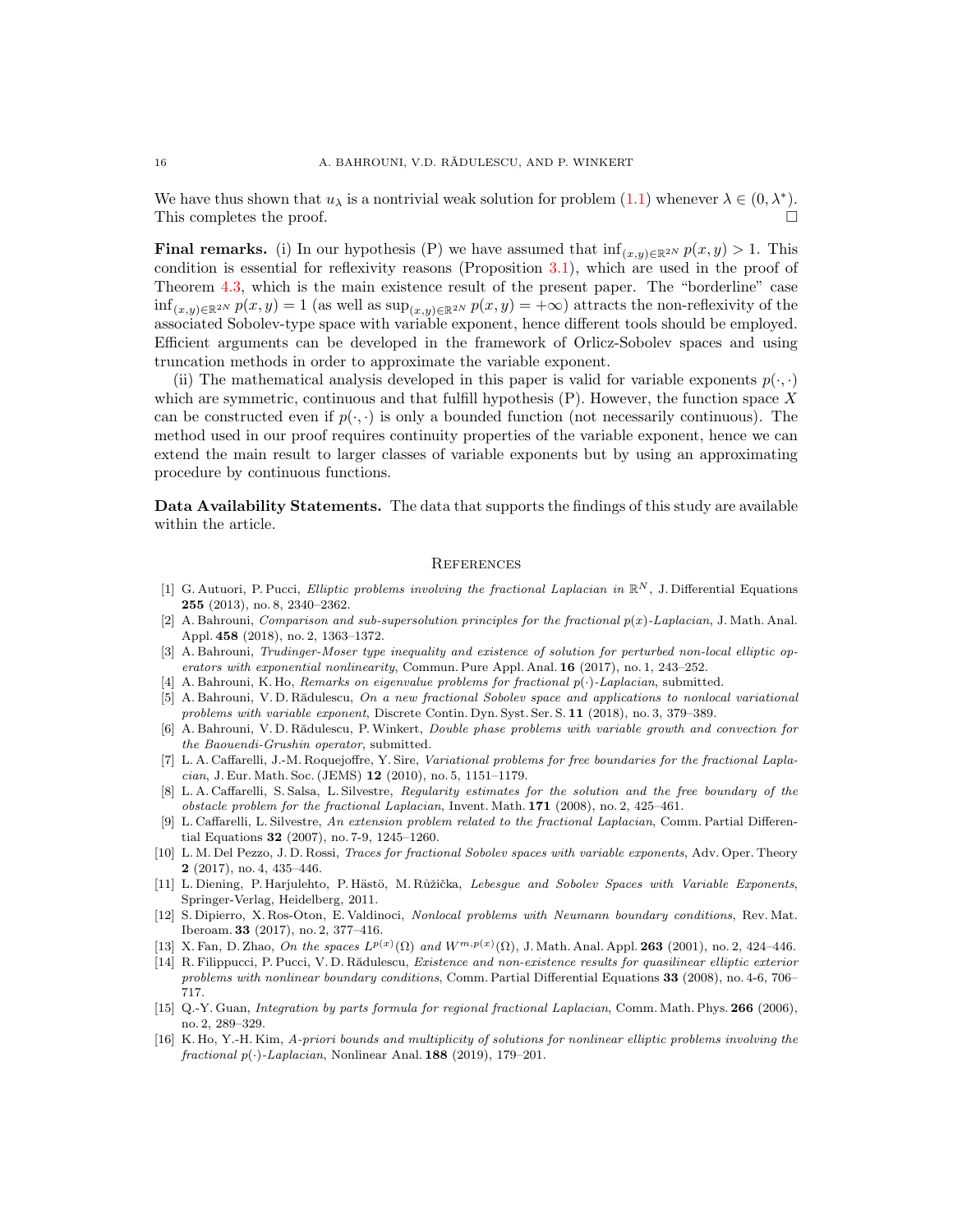We have thus shown that  $u_{\lambda}$  is a nontrivial weak solution for problem  $(1.1)$  whenever  $\lambda \in (0, \lambda^*)$ . This completes the proof.

**Final remarks.** (i) In our hypothesis (P) we have assumed that  $\inf_{(x,y)\in\mathbb{R}^{2N}} p(x,y) > 1$ . This condition is essential for reflexivity reasons (Proposition [3.1\)](#page-4-3), which are used in the proof of Theorem [4.3,](#page-14-0) which is the main existence result of the present paper. The "borderline" case  $\inf_{(x,y)\in\mathbb{R}^{2N}} p(x,y) = 1$  (as well as  $\sup_{(x,y)\in\mathbb{R}^{2N}} p(x,y) = +\infty$ ) attracts the non-reflexivity of the associated Sobolev-type space with variable exponent, hence different tools should be employed. Efficient arguments can be developed in the framework of Orlicz-Sobolev spaces and using truncation methods in order to approximate the variable exponent.

(ii) The mathematical analysis developed in this paper is valid for variable exponents  $p(\cdot, \cdot)$ which are symmetric, continuous and that fulfill hypothesis  $(P)$ . However, the function space X can be constructed even if  $p(\cdot, \cdot)$  is only a bounded function (not necessarily continuous). The method used in our proof requires continuity properties of the variable exponent, hence we can extend the main result to larger classes of variable exponents but by using an approximating procedure by continuous functions.

Data Availability Statements. The data that supports the findings of this study are available within the article.

#### **REFERENCES**

- <span id="page-15-3"></span>[1] G. Autuori, P. Pucci, Elliptic problems involving the fractional Laplacian in  $\mathbb{R}^N$ , J. Differential Equations 255 (2013), no. 8, 2340–2362.
- <span id="page-15-6"></span>[2] A. Bahrouni, Comparison and sub-supersolution principles for the fractional  $p(x)$ -Laplacian, J. Math. Anal. Appl. 458 (2018), no. 2, 1363–1372.
- <span id="page-15-4"></span>[3] A. Bahrouni, Trudinger-Moser type inequality and existence of solution for perturbed non-local elliptic operators with exponential nonlinearity, Commun. Pure Appl. Anal. 16 (2017), no. 1, 243–252.
- <span id="page-15-7"></span>[4] A. Bahrouni, K. Ho, Remarks on eigenvalue problems for fractional  $p(\cdot)$ -Laplacian, submitted.
- <span id="page-15-5"></span>[5] A. Bahrouni, V. D. Rădulescu, On a new fractional Sobolev space and applications to nonlocal variational problems with variable exponent, Discrete Contin. Dyn. Syst. Ser. S. 11 (2018), no. 3, 379–389.
- <span id="page-15-14"></span>[6] A. Bahrouni, V. D. Rădulescu, P. Winkert, *Double phase problems with variable growth and convection for* the Baouendi-Grushin operator, submitted.
- <span id="page-15-0"></span>[7] L. A. Caffarelli, J.-M. Roquejoffre, Y. Sire, Variational problems for free boundaries for the fractional Laplacian, J. Eur. Math. Soc. (JEMS) 12 (2010), no. 5, 1151–1179.
- <span id="page-15-1"></span>[8] L. A. Caffarelli, S. Salsa, L. Silvestre, Regularity estimates for the solution and the free boundary of the obstacle problem for the fractional Laplacian, Invent. Math. 171 (2008), no. 2, 425–461.
- <span id="page-15-2"></span>[9] L. Caffarelli, L. Silvestre, An extension problem related to the fractional Laplacian, Comm. Partial Differential Equations 32 (2007), no. 7-9, 1245–1260.
- <span id="page-15-13"></span>[10] L. M. Del Pezzo, J. D. Rossi, Traces for fractional Sobolev spaces with variable exponents, Adv. Oper. Theory 2 (2017), no. 4, 435–446.
- <span id="page-15-12"></span>[11] L. Diening, P. Harjulehto, P. Hästö, M. Růžička, Lebesque and Sobolev Spaces with Variable Exponents, Springer-Verlag, Heidelberg, 2011.
- <span id="page-15-9"></span>[12] S. Dipierro, X. Ros-Oton, E. Valdinoci, Nonlocal problems with Neumann boundary conditions, Rev. Mat. Iberoam. 33 (2017), no. 2, 377–416.
- <span id="page-15-11"></span>[13] X. Fan, D. Zhao, On the spaces  $L^{p(x)}(\Omega)$  and  $W^{m,p(x)}(\Omega)$ , J. Math. Anal. Appl. **263** (2001), no. 2, 424–446.
- <span id="page-15-15"></span>[14] R. Filippucci, P. Pucci, V. D. Rădulescu, Existence and non-existence results for quasilinear elliptic exterior problems with nonlinear boundary conditions, Comm. Partial Differential Equations 33 (2008), no. 4-6, 706– 717.
- <span id="page-15-10"></span>[15] Q.-Y. Guan, Integration by parts formula for regional fractional Laplacian, Comm. Math. Phys. 266 (2006), no. 2, 289–329.
- <span id="page-15-8"></span>[16] K. Ho, Y.-H. Kim, A-priori bounds and multiplicity of solutions for nonlinear elliptic problems involving the fractional  $p(\cdot)$ -Laplacian, Nonlinear Anal. **188** (2019), 179–201.